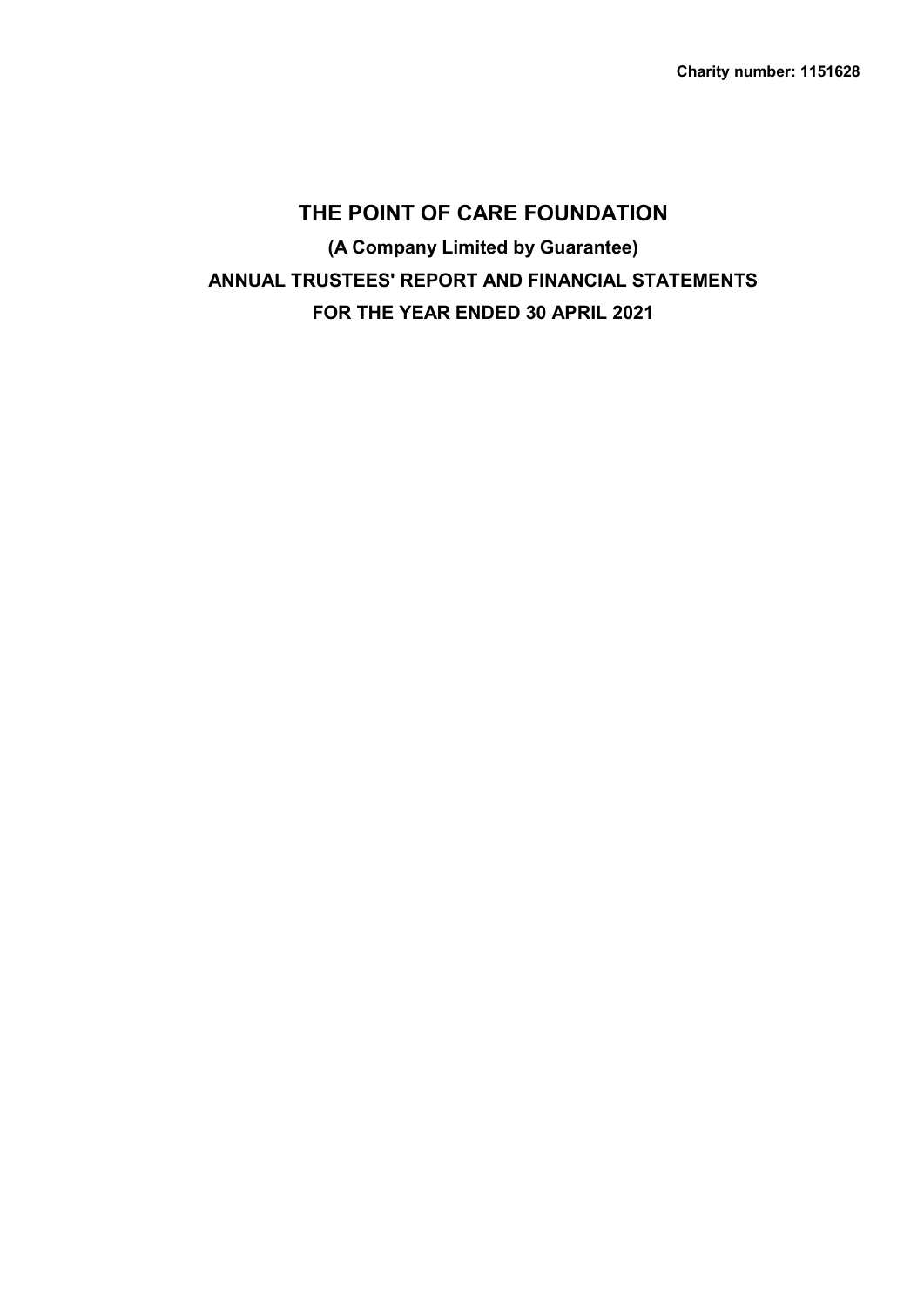# **THE POINT OF CARE FOUNDATION (A Company Limited by Guarantee) ANNUAL TRUSTEES' REPORT AND FINANCIAL STATEMENTS FOR THE YEAR ENDED 30 APRIL 2021**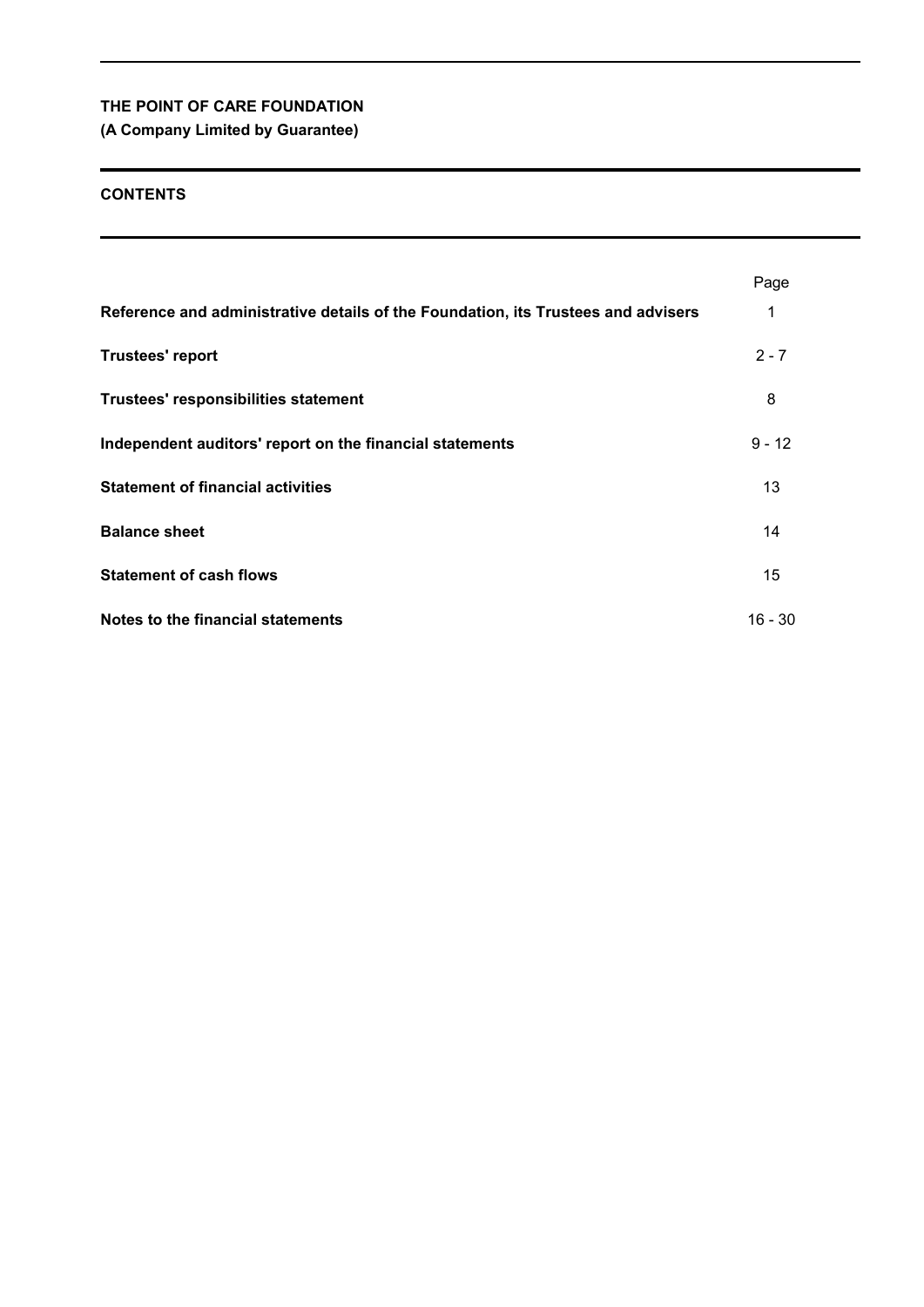**(A Company Limited by Guarantee)**

# **CONTENTS**

|                                                                                   | Page     |
|-----------------------------------------------------------------------------------|----------|
| Reference and administrative details of the Foundation, its Trustees and advisers | 1        |
| <b>Trustees' report</b>                                                           | $2 - 7$  |
| Trustees' responsibilities statement                                              | 8        |
| Independent auditors' report on the financial statements                          | $9 - 12$ |
| <b>Statement of financial activities</b>                                          | 13       |
| <b>Balance sheet</b>                                                              | 14       |
| <b>Statement of cash flows</b>                                                    | 15       |
| Notes to the financial statements                                                 | 16 - 30  |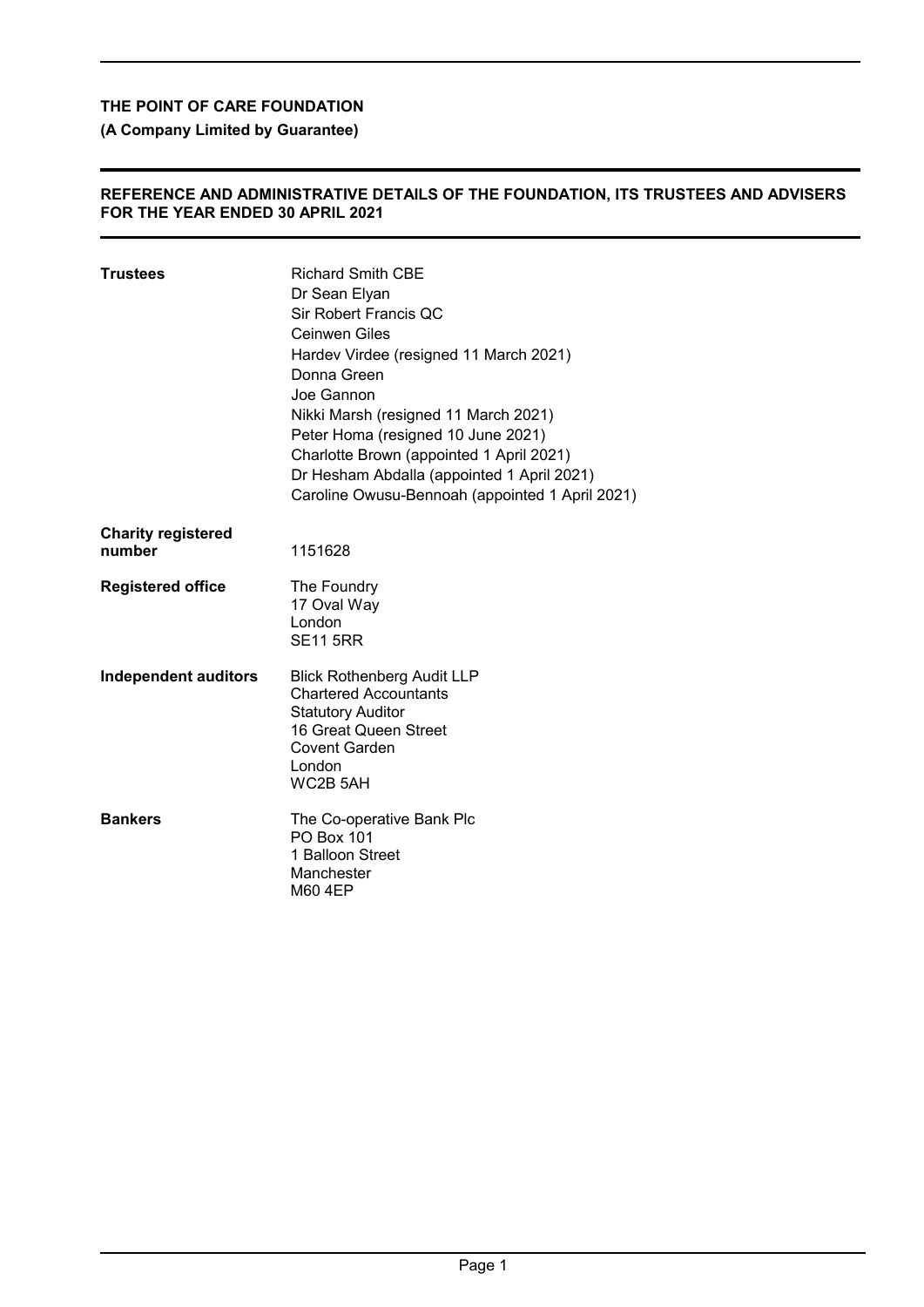# **(A Company Limited by Guarantee)**

### **REFERENCE AND ADMINISTRATIVE DETAILS OF THE FOUNDATION, ITS TRUSTEES AND ADVISERS FOR THE YEAR ENDED 30 APRIL 2021**

| <b>Trustees</b>                     | <b>Richard Smith CBE</b><br>Dr Sean Elyan<br>Sir Robert Francis QC<br><b>Ceinwen Giles</b><br>Hardev Virdee (resigned 11 March 2021)<br>Donna Green<br>Joe Gannon<br>Nikki Marsh (resigned 11 March 2021)<br>Peter Homa (resigned 10 June 2021)<br>Charlotte Brown (appointed 1 April 2021)<br>Dr Hesham Abdalla (appointed 1 April 2021)<br>Caroline Owusu-Bennoah (appointed 1 April 2021) |
|-------------------------------------|----------------------------------------------------------------------------------------------------------------------------------------------------------------------------------------------------------------------------------------------------------------------------------------------------------------------------------------------------------------------------------------------|
| <b>Charity registered</b><br>number | 1151628                                                                                                                                                                                                                                                                                                                                                                                      |
| <b>Registered office</b>            | The Foundry<br>17 Oval Way<br>London<br><b>SE11 5RR</b>                                                                                                                                                                                                                                                                                                                                      |
| <b>Independent auditors</b>         | <b>Blick Rothenberg Audit LLP</b><br><b>Chartered Accountants</b><br><b>Statutory Auditor</b><br>16 Great Queen Street<br><b>Covent Garden</b><br>London<br>WC2B 5AH                                                                                                                                                                                                                         |
| <b>Bankers</b>                      | The Co-operative Bank Plc<br><b>PO Box 101</b><br>1 Balloon Street<br>Manchester<br>M60 4EP                                                                                                                                                                                                                                                                                                  |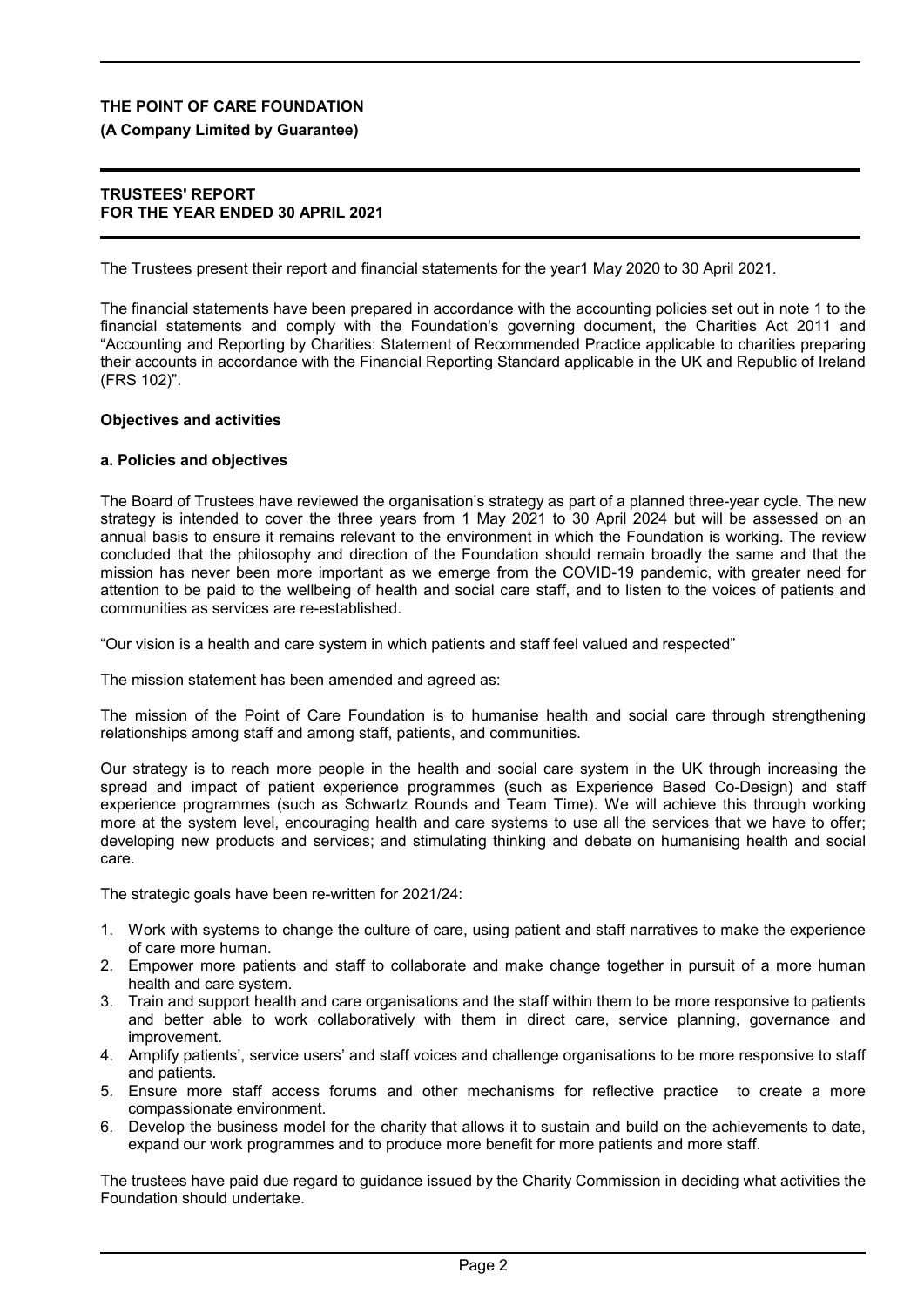**(A Company Limited by Guarantee)**

### **TRUSTEES' REPORT FOR THE YEAR ENDED 30 APRIL 2021**

The Trustees present their report and financial statements for the year1 May 2020 to 30 April 2021.

The financial statements have been prepared in accordance with the accounting policies set out in note 1 to the financial statements and comply with the Foundation's governing document, the Charities Act 2011 and "Accounting and Reporting by Charities: Statement of Recommended Practice applicable to charities preparing their accounts in accordance with the Financial Reporting Standard applicable in the UK and Republic of Ireland (FRS 102)".

### **Objectives and activities**

#### **a. Policies and objectives**

The Board of Trustees have reviewed the organisation's strategy as part of a planned three-year cycle. The new strategy is intended to cover the three years from 1 May 2021 to 30 April 2024 but will be assessed on an annual basis to ensure it remains relevant to the environment in which the Foundation is working. The review concluded that the philosophy and direction of the Foundation should remain broadly the same and that the mission has never been more important as we emerge from the COVID-19 pandemic, with greater need for attention to be paid to the wellbeing of health and social care staff, and to listen to the voices of patients and communities as services are re-established.

"Our vision is a health and care system in which patients and staff feel valued and respected"

The mission statement has been amended and agreed as:

The mission of the Point of Care Foundation is to humanise health and social care through strengthening relationships among staff and among staff, patients, and communities.

Our strategy is to reach more people in the health and social care system in the UK through increasing the spread and impact of patient experience programmes (such as Experience Based Co-Design) and staff experience programmes (such as Schwartz Rounds and Team Time). We will achieve this through working more at the system level, encouraging health and care systems to use all the services that we have to offer; developing new products and services; and stimulating thinking and debate on humanising health and social care.

The strategic goals have been re-written for 2021/24:

- 1. Work with systems to change the culture of care, using patient and staff narratives to make the experience of care more human.
- 2. Empower more patients and staff to collaborate and make change together in pursuit of a more human health and care system.
- 3. Train and support health and care organisations and the staff within them to be more responsive to patients and better able to work collaboratively with them in direct care, service planning, governance and improvement.
- 4. Amplify patients', service users' and staff voices and challenge organisations to be more responsive to staff and patients.
- 5. Ensure more staff access forums and other mechanisms for reflective practice to create a more compassionate environment.
- 6. Develop the business model for the charity that allows it to sustain and build on the achievements to date, expand our work programmes and to produce more benefit for more patients and more staff.

The trustees have paid due regard to guidance issued by the Charity Commission in deciding what activities the Foundation should undertake.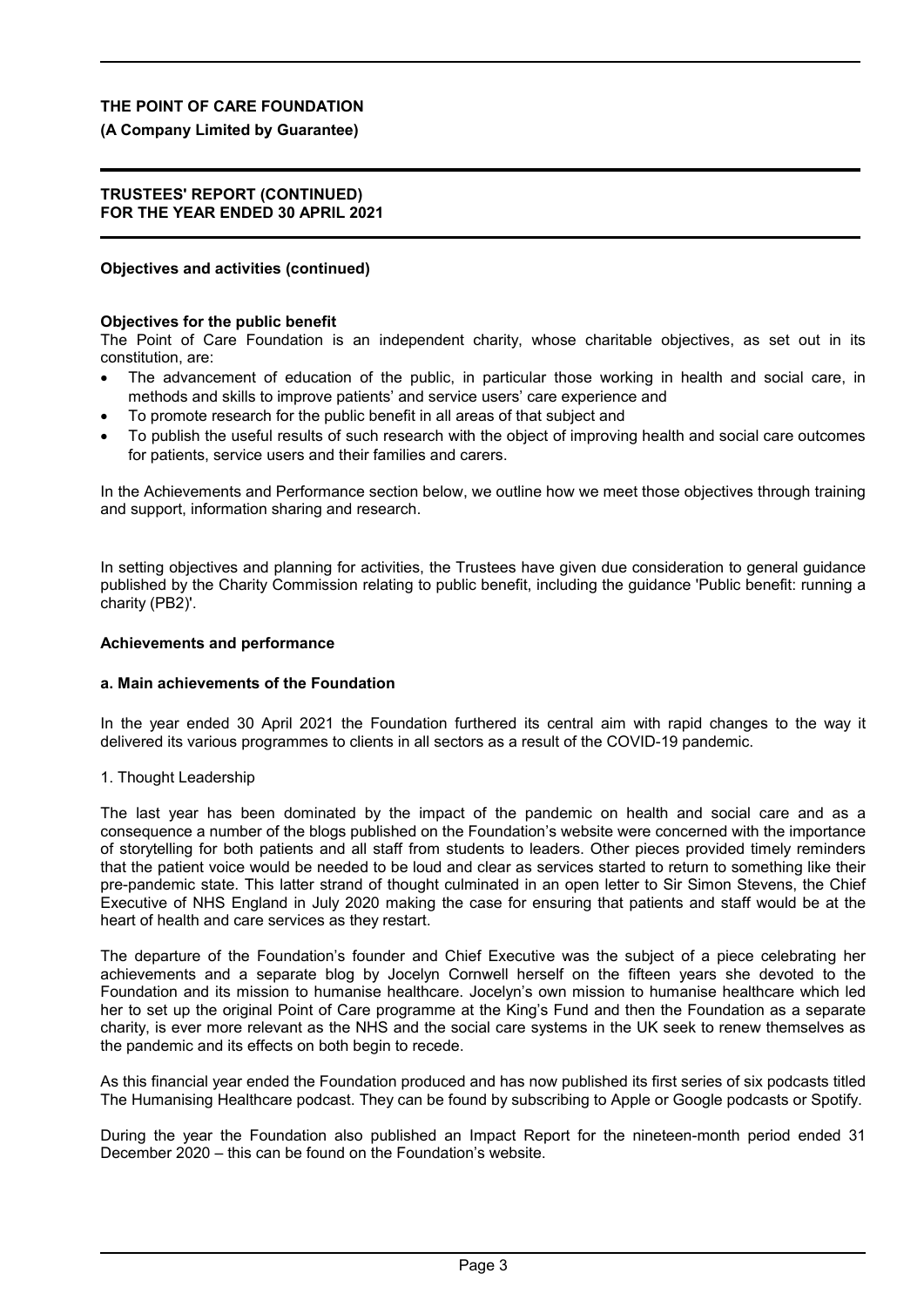**(A Company Limited by Guarantee)**

#### **TRUSTEES' REPORT (CONTINUED) FOR THE YEAR ENDED 30 APRIL 2021**

### **Objectives and activities (continued)**

#### **Objectives for the public benefit**

The Point of Care Foundation is an independent charity, whose charitable objectives, as set out in its constitution, are:

- The advancement of education of the public, in particular those working in health and social care, in methods and skills to improve patients' and service users' care experience and
- To promote research for the public benefit in all areas of that subject and
- To publish the useful results of such research with the object of improving health and social care outcomes for patients, service users and their families and carers.

In the Achievements and Performance section below, we outline how we meet those objectives through training and support, information sharing and research.

In setting objectives and planning for activities, the Trustees have given due consideration to general guidance published by the Charity Commission relating to public benefit, including the guidance 'Public benefit: running a charity (PB2)'.

#### **Achievements and performance**

### **a. Main achievements of the Foundation**

In the year ended 30 April 2021 the Foundation furthered its central aim with rapid changes to the way it delivered its various programmes to clients in all sectors as a result of the COVID-19 pandemic.

1. Thought Leadership

The last year has been dominated by the impact of the pandemic on health and social care and as a consequence a number of the blogs published on the Foundation's website were concerned with the importance of storytelling for both patients and all staff from students to leaders. Other pieces provided timely reminders that the patient voice would be needed to be loud and clear as services started to return to something like their pre-pandemic state. This latter strand of thought culminated in an open letter to Sir Simon Stevens, the Chief Executive of NHS England in July 2020 making the case for ensuring that patients and staff would be at the heart of health and care services as they restart.

The departure of the Foundation's founder and Chief Executive was the subject of a piece celebrating her achievements and a separate blog by Jocelyn Cornwell herself on the fifteen years she devoted to the Foundation and its mission to humanise healthcare. Jocelyn's own mission to humanise healthcare which led her to set up the original Point of Care programme at the King's Fund and then the Foundation as a separate charity, is ever more relevant as the NHS and the social care systems in the UK seek to renew themselves as the pandemic and its effects on both begin to recede.

As this financial year ended the Foundation produced and has now published its first series of six podcasts titled The Humanising Healthcare podcast. They can be found by subscribing to Apple or Google podcasts or Spotify.

During the year the Foundation also published an Impact Report for the nineteen-month period ended 31 December 2020 – this can be found on the Foundation's website.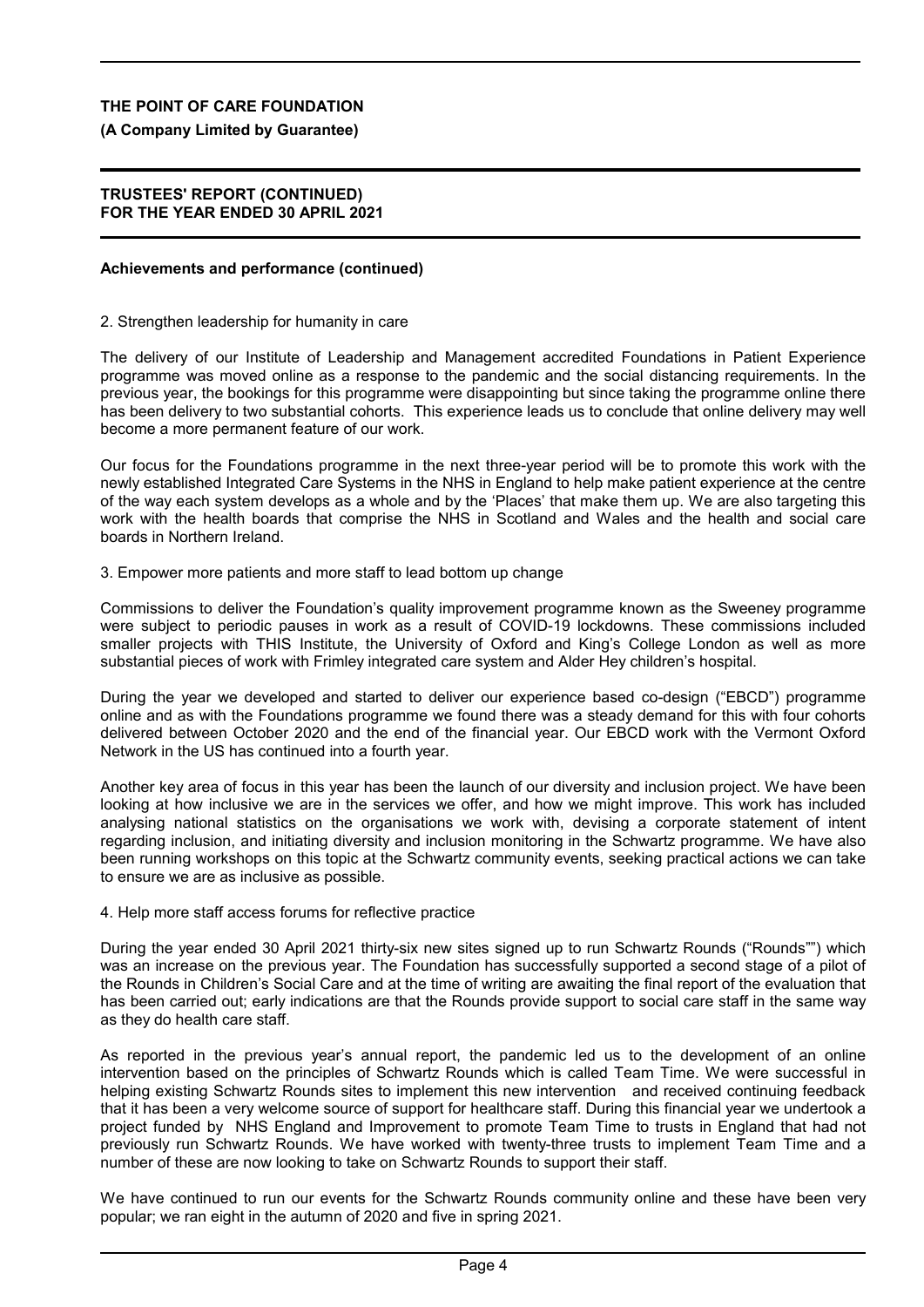**(A Company Limited by Guarantee)**

### **TRUSTEES' REPORT (CONTINUED) FOR THE YEAR ENDED 30 APRIL 2021**

### **Achievements and performance (continued)**

2. Strengthen leadership for humanity in care

The delivery of our Institute of Leadership and Management accredited Foundations in Patient Experience programme was moved online as a response to the pandemic and the social distancing requirements. In the previous year, the bookings for this programme were disappointing but since taking the programme online there has been delivery to two substantial cohorts. This experience leads us to conclude that online delivery may well become a more permanent feature of our work.

Our focus for the Foundations programme in the next three-year period will be to promote this work with the newly established Integrated Care Systems in the NHS in England to help make patient experience at the centre of the way each system develops as a whole and by the 'Places' that make them up. We are also targeting this work with the health boards that comprise the NHS in Scotland and Wales and the health and social care boards in Northern Ireland.

#### 3. Empower more patients and more staff to lead bottom up change

Commissions to deliver the Foundation's quality improvement programme known as the Sweeney programme were subject to periodic pauses in work as a result of COVID-19 lockdowns. These commissions included smaller projects with THIS Institute, the University of Oxford and King's College London as well as more substantial pieces of work with Frimley integrated care system and Alder Hey children's hospital.

During the year we developed and started to deliver our experience based co-design ("EBCD") programme online and as with the Foundations programme we found there was a steady demand for this with four cohorts delivered between October 2020 and the end of the financial year. Our EBCD work with the Vermont Oxford Network in the US has continued into a fourth year.

Another key area of focus in this year has been the launch of our diversity and inclusion project. We have been looking at how inclusive we are in the services we offer, and how we might improve. This work has included analysing national statistics on the organisations we work with, devising a corporate statement of intent regarding inclusion, and initiating diversity and inclusion monitoring in the Schwartz programme. We have also been running workshops on this topic at the Schwartz community events, seeking practical actions we can take to ensure we are as inclusive as possible.

### 4. Help more staff access forums for reflective practice

During the year ended 30 April 2021 thirty-six new sites signed up to run Schwartz Rounds ("Rounds"") which was an increase on the previous year. The Foundation has successfully supported a second stage of a pilot of the Rounds in Children's Social Care and at the time of writing are awaiting the final report of the evaluation that has been carried out; early indications are that the Rounds provide support to social care staff in the same way as they do health care staff.

As reported in the previous year's annual report, the pandemic led us to the development of an online intervention based on the principles of Schwartz Rounds which is called Team Time. We were successful in helping existing Schwartz Rounds sites to implement this new intervention and received continuing feedback that it has been a very welcome source of support for healthcare staff. During this financial year we undertook a project funded by NHS England and Improvement to promote Team Time to trusts in England that had not previously run Schwartz Rounds. We have worked with twenty-three trusts to implement Team Time and a number of these are now looking to take on Schwartz Rounds to support their staff.

We have continued to run our events for the Schwartz Rounds community online and these have been very popular; we ran eight in the autumn of 2020 and five in spring 2021.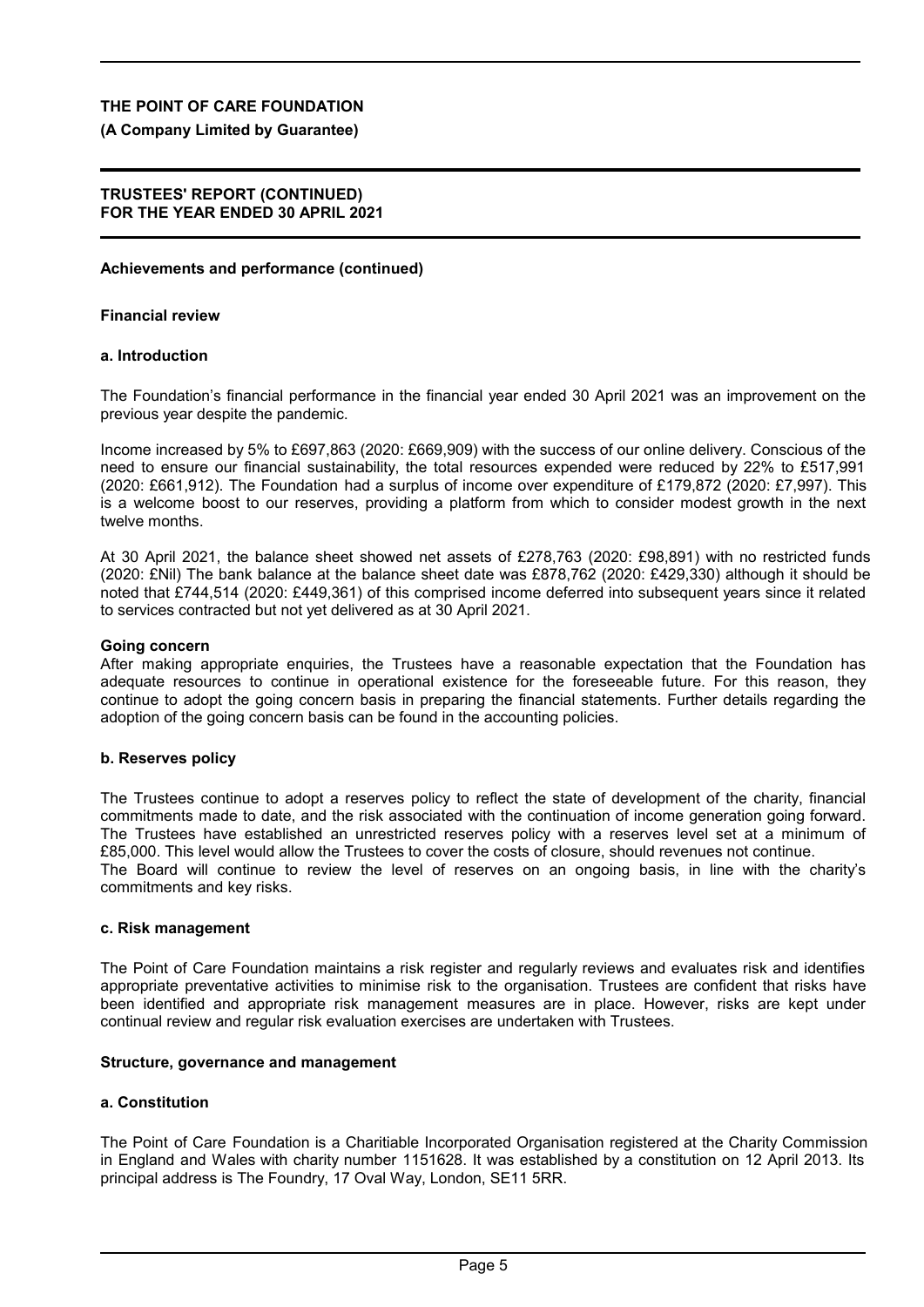**(A Company Limited by Guarantee)**

### **TRUSTEES' REPORT (CONTINUED) FOR THE YEAR ENDED 30 APRIL 2021**

### **Achievements and performance (continued)**

### **Financial review**

### **a. Introduction**

The Foundation's financial performance in the financial year ended 30 April 2021 was an improvement on the previous year despite the pandemic.

Income increased by 5% to £697,863 (2020: £669,909) with the success of our online delivery. Conscious of the need to ensure our financial sustainability, the total resources expended were reduced by 22% to £517,991 (2020: £661,912). The Foundation had a surplus of income over expenditure of £179,872 (2020: £7,997). This is a welcome boost to our reserves, providing a platform from which to consider modest growth in the next twelve months.

At 30 April 2021, the balance sheet showed net assets of £278,763 (2020: £98,891) with no restricted funds (2020: £Nil) The bank balance at the balance sheet date was £878,762 (2020: £429,330) although it should be noted that £744,514 (2020: £449,361) of this comprised income deferred into subsequent years since it related to services contracted but not yet delivered as at 30 April 2021.

### **Going concern**

After making appropriate enquiries, the Trustees have a reasonable expectation that the Foundation has adequate resources to continue in operational existence for the foreseeable future. For this reason, they continue to adopt the going concern basis in preparing the financial statements. Further details regarding the adoption of the going concern basis can be found in the accounting policies.

### **b. Reserves policy**

The Trustees continue to adopt a reserves policy to reflect the state of development of the charity, financial commitments made to date, and the risk associated with the continuation of income generation going forward. The Trustees have established an unrestricted reserves policy with a reserves level set at a minimum of £85,000. This level would allow the Trustees to cover the costs of closure, should revenues not continue. The Board will continue to review the level of reserves on an ongoing basis, in line with the charity's commitments and key risks.

### **c. Risk management**

The Point of Care Foundation maintains a risk register and regularly reviews and evaluates risk and identifies appropriate preventative activities to minimise risk to the organisation. Trustees are confident that risks have been identified and appropriate risk management measures are in place. However, risks are kept under continual review and regular risk evaluation exercises are undertaken with Trustees.

### **Structure, governance and management**

### **a. Constitution**

The Point of Care Foundation is a Charitiable Incorporated Organisation registered at the Charity Commission in England and Wales with charity number 1151628. It was established by a constitution on 12 April 2013. Its principal address is The Foundry, 17 Oval Way, London, SE11 5RR.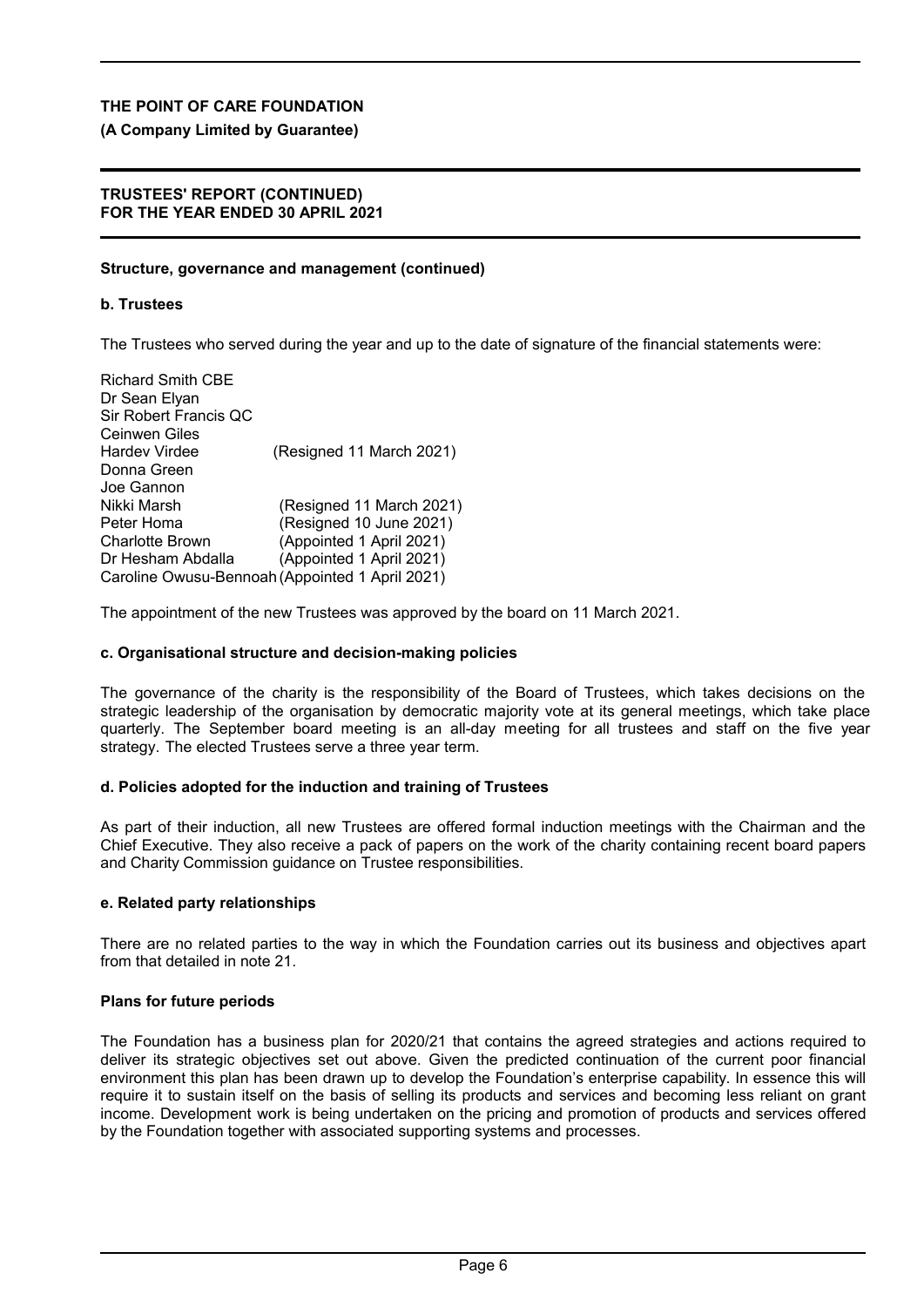### **(A Company Limited by Guarantee)**

### **TRUSTEES' REPORT (CONTINUED) FOR THE YEAR ENDED 30 APRIL 2021**

### **Structure, governance and management (continued)**

### **b. Trustees**

The Trustees who served during the year and up to the date of signature of the financial statements were:

 (Resigned 11 March 2021) (Resigned 11 March 2021) (Resigned 10 June 2021) (Appointed 1 April 2021) Richard Smith CBE Dr Sean Elyan Sir Robert Francis QC Ceinwen Giles Hardev Virdee Donna Green Joe Gannon Nikki Marsh Peter Homa Charlotte Brown Dr Hesham Abdalla (Appointed 1 April 2021) Caroline Owusu-Bennoah (Appointed 1 April 2021)

The appointment of the new Trustees was approved by the board on 11 March 2021.

### **c. Organisational structure and decision-making policies**

The governance of the charity is the responsibility of the Board of Trustees, which takes decisions on the strategic leadership of the organisation by democratic majority vote at its general meetings, which take place quarterly. The September board meeting is an all-day meeting for all trustees and staff on the five year strategy. The elected Trustees serve a three year term.

### **d. Policies adopted for the induction and training of Trustees**

As part of their induction, all new Trustees are offered formal induction meetings with the Chairman and the Chief Executive. They also receive a pack of papers on the work of the charity containing recent board papers and Charity Commission guidance on Trustee responsibilities.

### **e. Related party relationships**

There are no related parties to the way in which the Foundation carries out its business and objectives apart from that detailed in note 21.

### **Plans for future periods**

The Foundation has a business plan for 2020/21 that contains the agreed strategies and actions required to deliver its strategic objectives set out above. Given the predicted continuation of the current poor financial environment this plan has been drawn up to develop the Foundation's enterprise capability. In essence this will require it to sustain itself on the basis of selling its products and services and becoming less reliant on grant income. Development work is being undertaken on the pricing and promotion of products and services offered by the Foundation together with associated supporting systems and processes.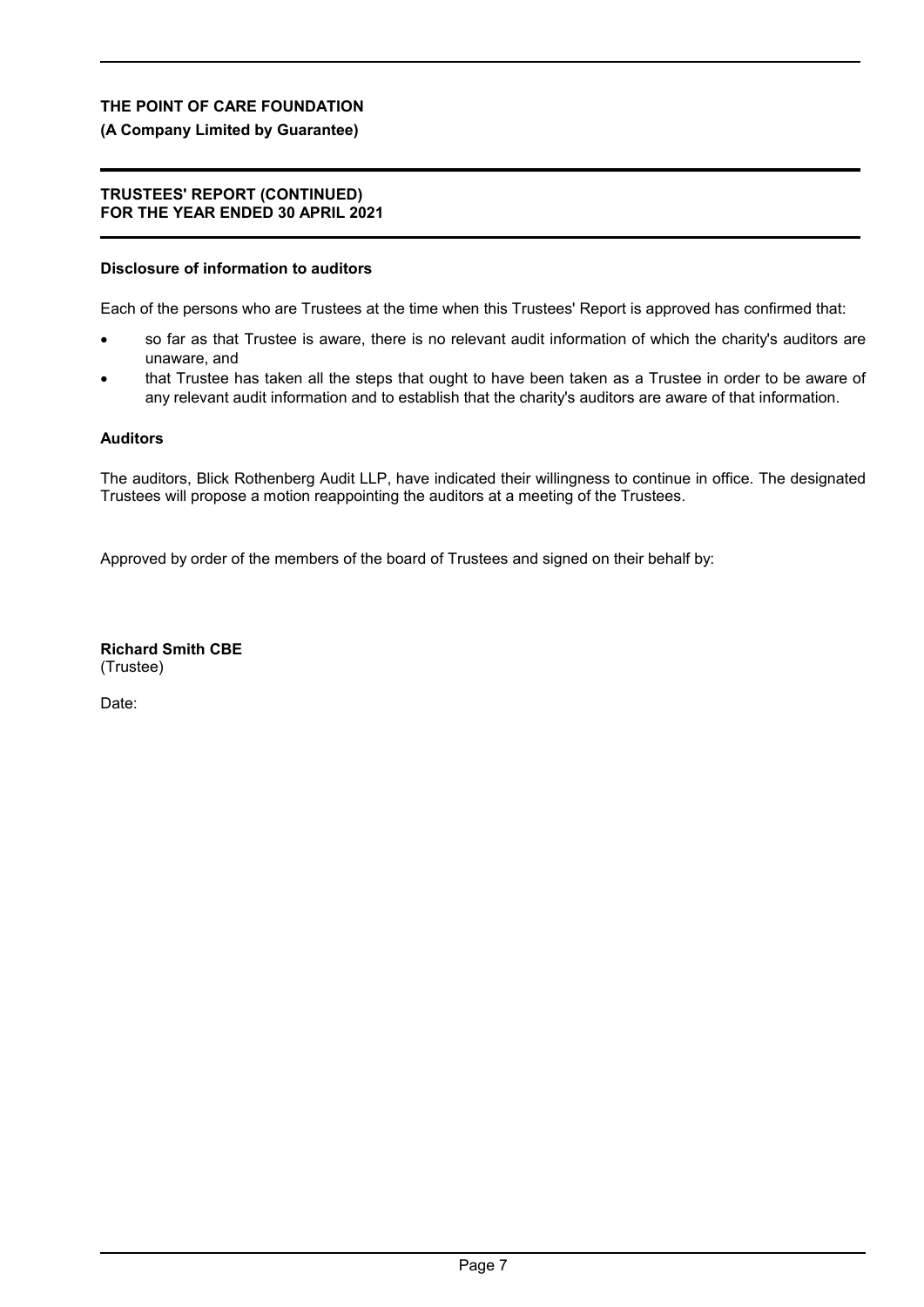### **(A Company Limited by Guarantee)**

#### **TRUSTEES' REPORT (CONTINUED) FOR THE YEAR ENDED 30 APRIL 2021**

### **Disclosure of information to auditors**

Each of the persons who are Trustees at the time when this Trustees' Report is approved has confirmed that:

- so far as that Trustee is aware, there is no relevant audit information of which the charity's auditors are unaware, and
- that Trustee has taken all the steps that ought to have been taken as a Trustee in order to be aware of any relevant audit information and to establish that the charity's auditors are aware of that information.

### **Auditors**

The auditors, Blick Rothenberg Audit LLP, have indicated their willingness to continue in office. The designated Trustees will propose a motion reappointing the auditors at a meeting of the Trustees.

Approved by order of the members of the board of Trustees and signed on their behalf by:

**Richard Smith CBE** (Trustee)

Date: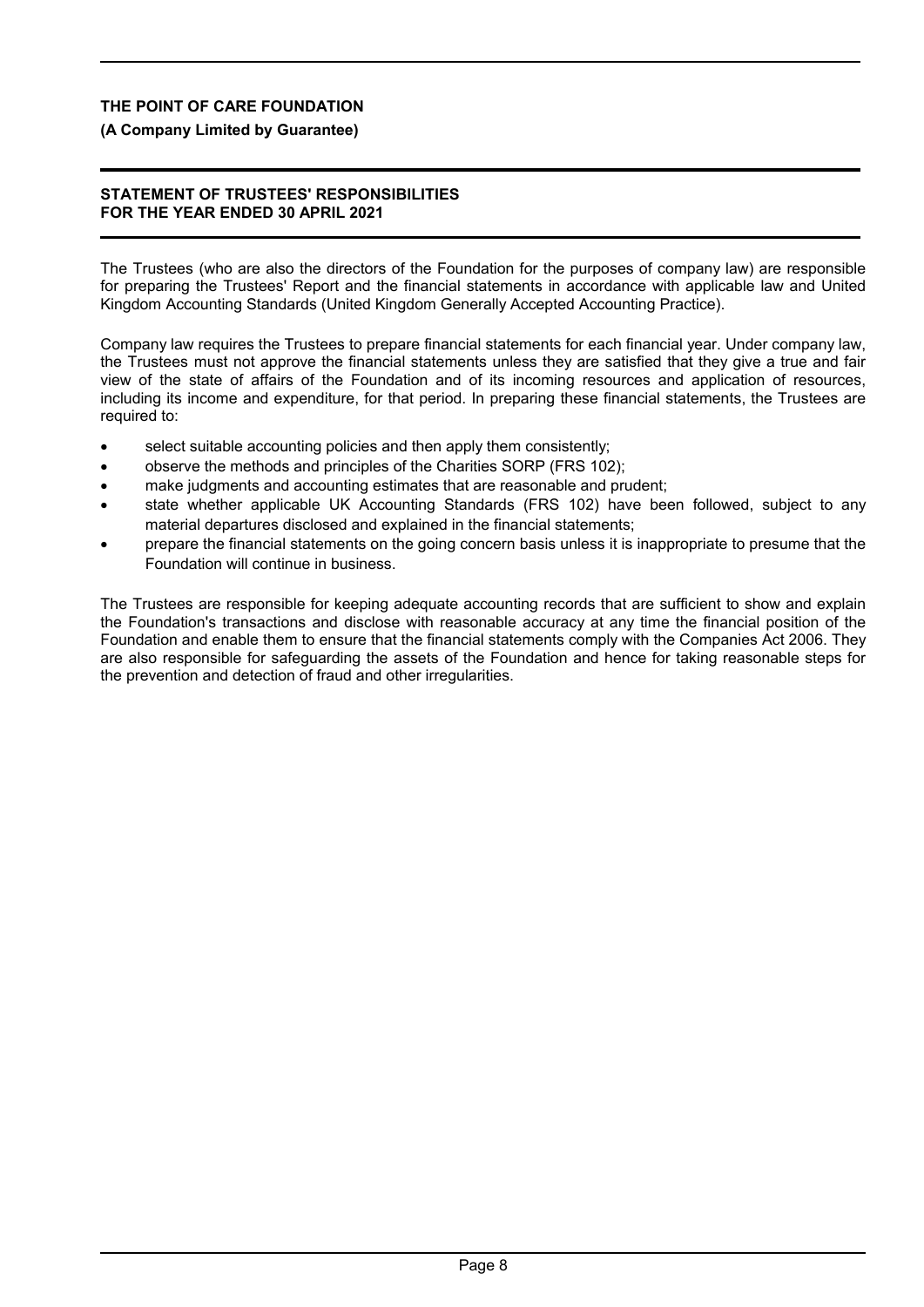### **(A Company Limited by Guarantee)**

### **STATEMENT OF TRUSTEES' RESPONSIBILITIES FOR THE YEAR ENDED 30 APRIL 2021**

The Trustees (who are also the directors of the Foundation for the purposes of company law) are responsible for preparing the Trustees' Report and the financial statements in accordance with applicable law and United Kingdom Accounting Standards (United Kingdom Generally Accepted Accounting Practice).

Company law requires the Trustees to prepare financial statements for each financial year. Under company law, the Trustees must not approve the financial statements unless they are satisfied that they give a true and fair view of the state of affairs of the Foundation and of its incoming resources and application of resources, including its income and expenditure, for that period. In preparing these financial statements, the Trustees are required to:

- select suitable accounting policies and then apply them consistently;
- observe the methods and principles of the Charities SORP (FRS 102);
- make judgments and accounting estimates that are reasonable and prudent;
- state whether applicable UK Accounting Standards (FRS 102) have been followed, subject to any material departures disclosed and explained in the financial statements;
- prepare the financial statements on the going concern basis unless it is inappropriate to presume that the Foundation will continue in business.

The Trustees are responsible for keeping adequate accounting records that are sufficient to show and explain the Foundation's transactions and disclose with reasonable accuracy at any time the financial position of the Foundation and enable them to ensure that the financial statements comply with the Companies Act 2006. They are also responsible for safeguarding the assets of the Foundation and hence for taking reasonable steps for the prevention and detection of fraud and other irregularities.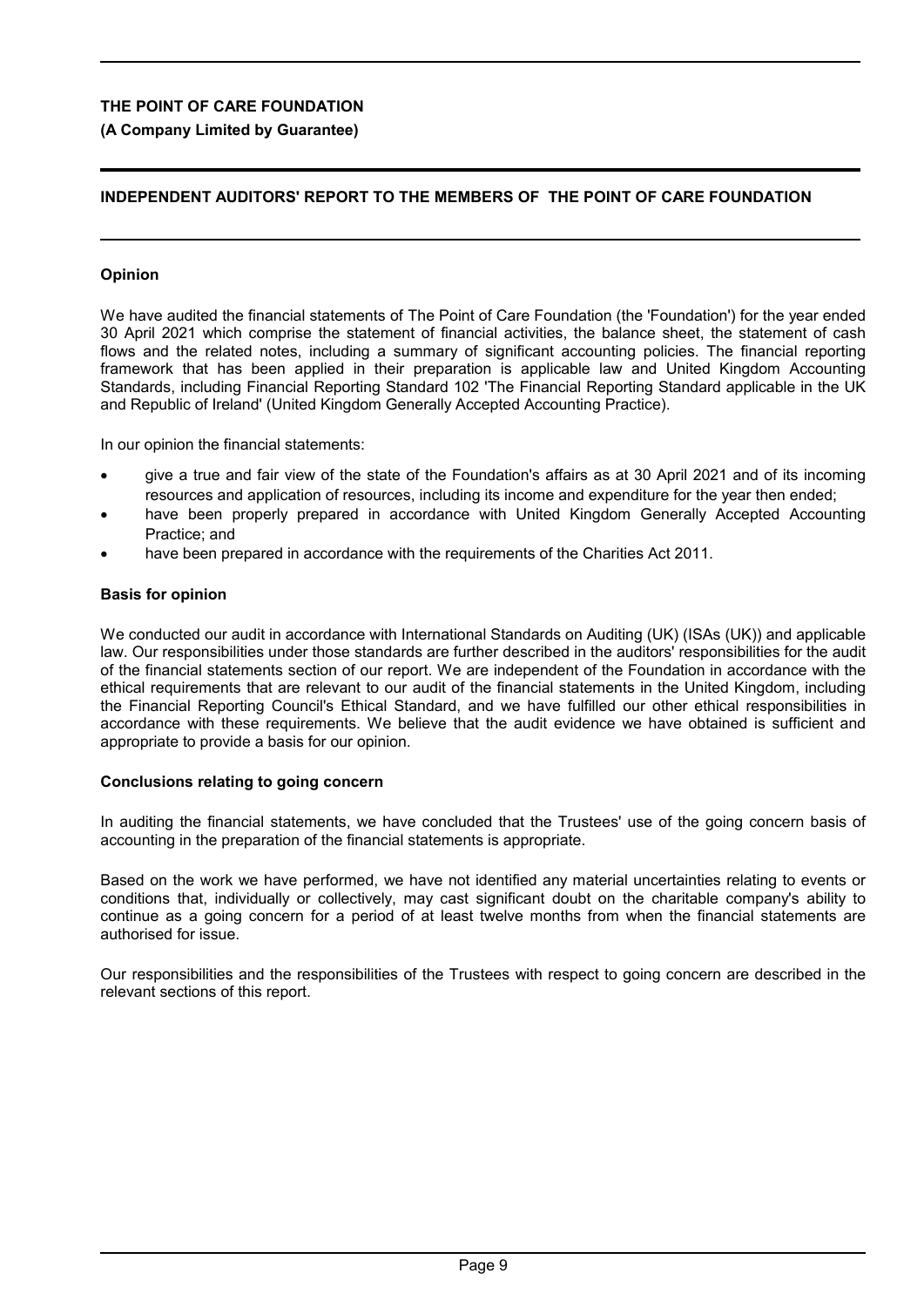### **(A Company Limited by Guarantee)**

### **INDEPENDENT AUDITORS' REPORT TO THE MEMBERS OF THE POINT OF CARE FOUNDATION**

### **Opinion**

We have audited the financial statements of The Point of Care Foundation (the 'Foundation') for the year ended 30 April 2021 which comprise the statement of financial activities, the balance sheet, the statement of cash flows and the related notes, including a summary of significant accounting policies. The financial reporting framework that has been applied in their preparation is applicable law and United Kingdom Accounting Standards, including Financial Reporting Standard 102 'The Financial Reporting Standard applicable in the UK and Republic of Ireland' (United Kingdom Generally Accepted Accounting Practice).

In our opinion the financial statements:

- give a true and fair view of the state of the Foundation's affairs as at 30 April 2021 and of its incoming resources and application of resources, including its income and expenditure for the year then ended;
- have been properly prepared in accordance with United Kingdom Generally Accepted Accounting Practice; and
- have been prepared in accordance with the requirements of the Charities Act 2011.

### **Basis for opinion**

We conducted our audit in accordance with International Standards on Auditing (UK) (ISAs (UK)) and applicable law. Our responsibilities under those standards are further described in the auditors' responsibilities for the audit of the financial statements section of our report. We are independent of the Foundation in accordance with the ethical requirements that are relevant to our audit of the financial statements in the United Kingdom, including the Financial Reporting Council's Ethical Standard, and we have fulfilled our other ethical responsibilities in accordance with these requirements. We believe that the audit evidence we have obtained is sufficient and appropriate to provide a basis for our opinion.

### **Conclusions relating to going concern**

In auditing the financial statements, we have concluded that the Trustees' use of the going concern basis of accounting in the preparation of the financial statements is appropriate.

Based on the work we have performed, we have not identified any material uncertainties relating to events or conditions that, individually or collectively, may cast significant doubt on the charitable company's ability to continue as a going concern for a period of at least twelve months from when the financial statements are authorised for issue.

Our responsibilities and the responsibilities of the Trustees with respect to going concern are described in the relevant sections of this report.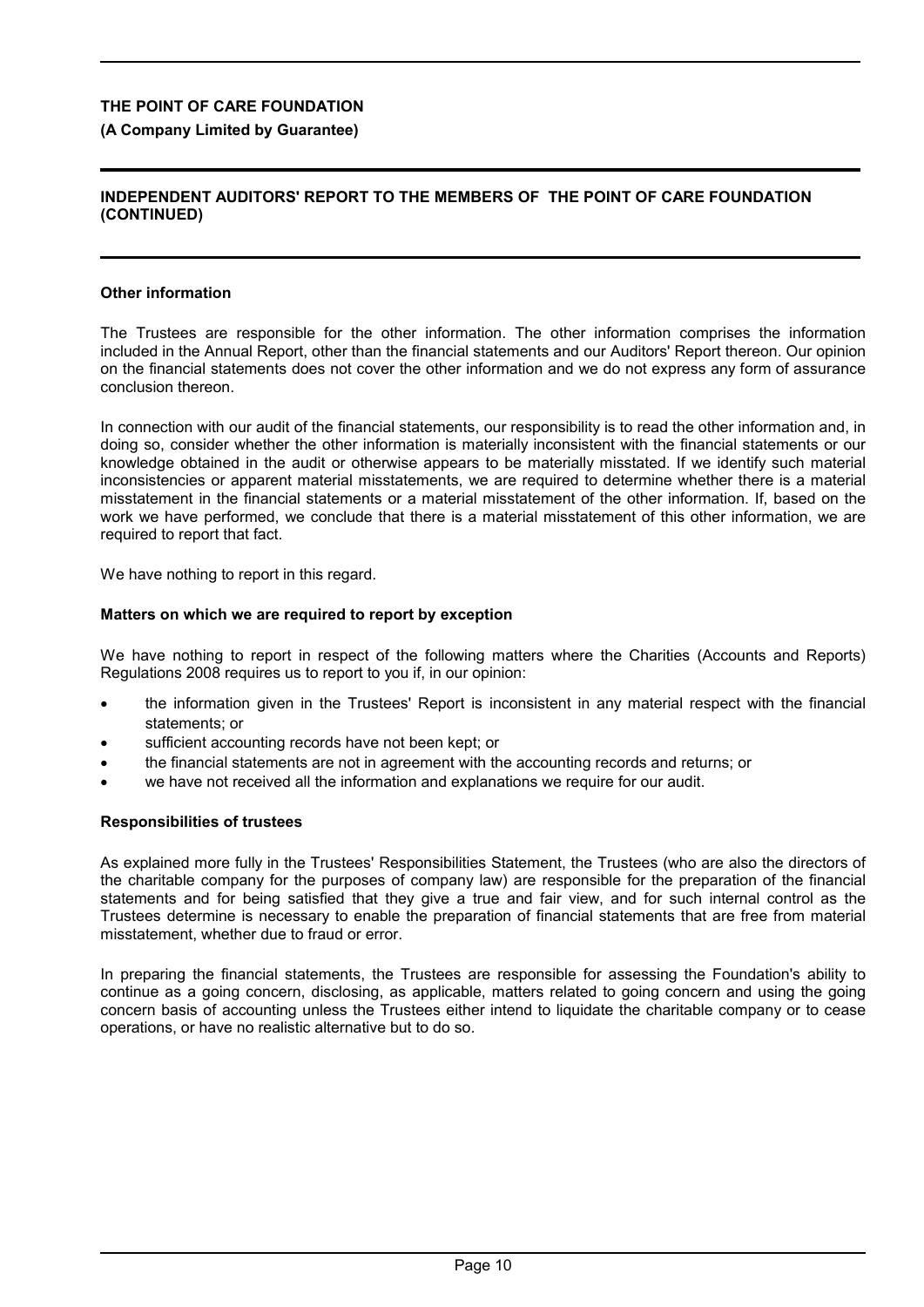### **(A Company Limited by Guarantee)**

### **INDEPENDENT AUDITORS' REPORT TO THE MEMBERS OF THE POINT OF CARE FOUNDATION (CONTINUED)**

### **Other information**

The Trustees are responsible for the other information. The other information comprises the information included in the Annual Report, other than the financial statements and our Auditors' Report thereon. Our opinion on the financial statements does not cover the other information and we do not express any form of assurance conclusion thereon.

In connection with our audit of the financial statements, our responsibility is to read the other information and, in doing so, consider whether the other information is materially inconsistent with the financial statements or our knowledge obtained in the audit or otherwise appears to be materially misstated. If we identify such material inconsistencies or apparent material misstatements, we are required to determine whether there is a material misstatement in the financial statements or a material misstatement of the other information. If, based on the work we have performed, we conclude that there is a material misstatement of this other information, we are required to report that fact.

We have nothing to report in this regard.

#### **Matters on which we are required to report by exception**

We have nothing to report in respect of the following matters where the Charities (Accounts and Reports) Regulations 2008 requires us to report to you if, in our opinion:

- the information given in the Trustees' Report is inconsistent in any material respect with the financial statements; or
- sufficient accounting records have not been kept; or
- the financial statements are not in agreement with the accounting records and returns; or
- we have not received all the information and explanations we require for our audit.

### **Responsibilities of trustees**

As explained more fully in the Trustees' Responsibilities Statement, the Trustees (who are also the directors of the charitable company for the purposes of company law) are responsible for the preparation of the financial statements and for being satisfied that they give a true and fair view, and for such internal control as the Trustees determine is necessary to enable the preparation of financial statements that are free from material misstatement, whether due to fraud or error.

In preparing the financial statements, the Trustees are responsible for assessing the Foundation's ability to continue as a going concern, disclosing, as applicable, matters related to going concern and using the going concern basis of accounting unless the Trustees either intend to liquidate the charitable company or to cease operations, or have no realistic alternative but to do so.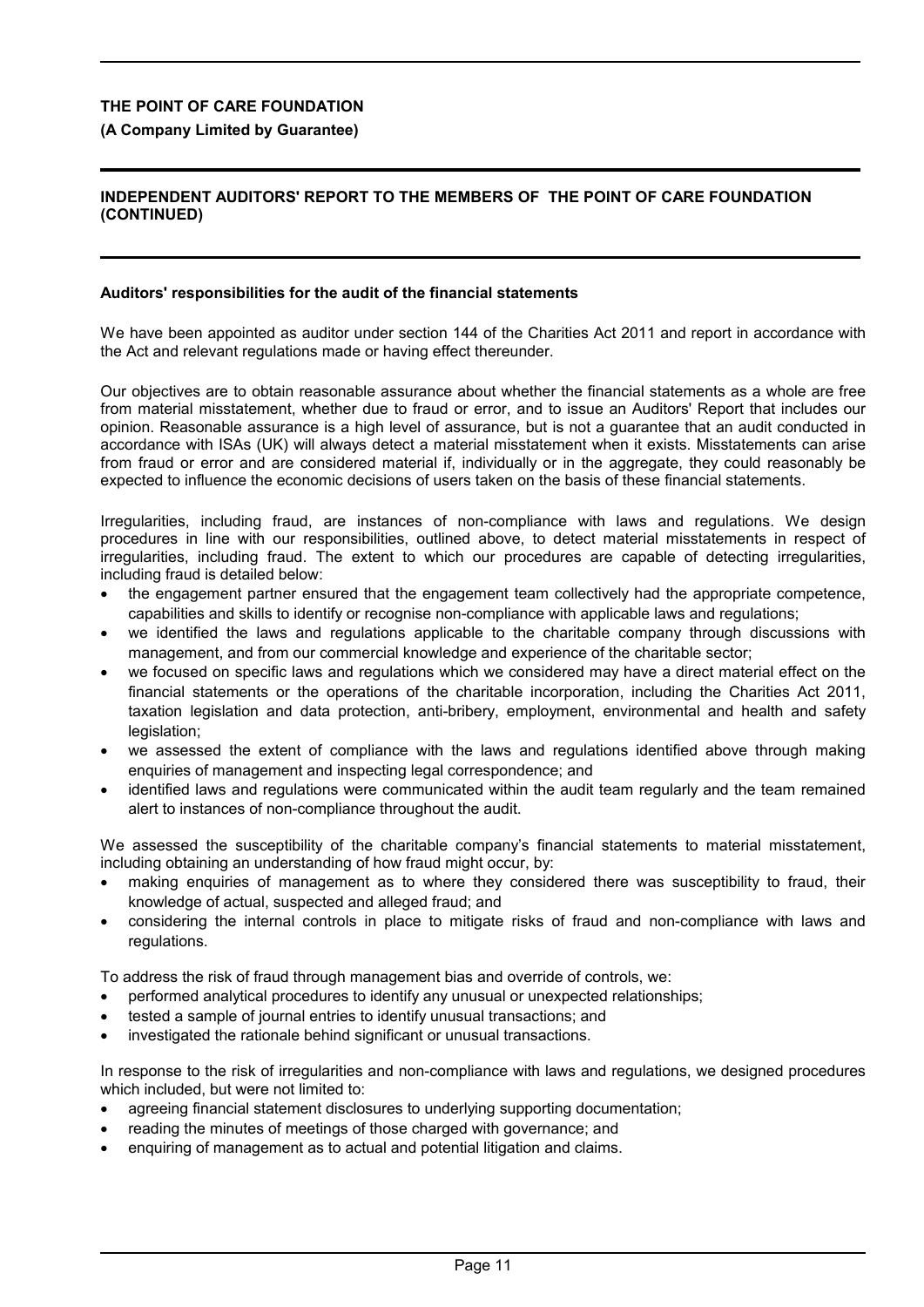### **(A Company Limited by Guarantee)**

### **INDEPENDENT AUDITORS' REPORT TO THE MEMBERS OF THE POINT OF CARE FOUNDATION (CONTINUED)**

### **Auditors' responsibilities for the audit of the financial statements**

We have been appointed as auditor under section 144 of the Charities Act 2011 and report in accordance with the Act and relevant regulations made or having effect thereunder.

Our objectives are to obtain reasonable assurance about whether the financial statements as a whole are free from material misstatement, whether due to fraud or error, and to issue an Auditors' Report that includes our opinion. Reasonable assurance is a high level of assurance, but is not a guarantee that an audit conducted in accordance with ISAs (UK) will always detect a material misstatement when it exists. Misstatements can arise from fraud or error and are considered material if, individually or in the aggregate, they could reasonably be expected to influence the economic decisions of users taken on the basis of these financial statements.

Irregularities, including fraud, are instances of non-compliance with laws and regulations. We design procedures in line with our responsibilities, outlined above, to detect material misstatements in respect of irregularities, including fraud. The extent to which our procedures are capable of detecting irregularities, including fraud is detailed below:

- the engagement partner ensured that the engagement team collectively had the appropriate competence, capabilities and skills to identify or recognise non-compliance with applicable laws and regulations;
- we identified the laws and regulations applicable to the charitable company through discussions with management, and from our commercial knowledge and experience of the charitable sector;
- we focused on specific laws and regulations which we considered may have a direct material effect on the financial statements or the operations of the charitable incorporation, including the Charities Act 2011, taxation legislation and data protection, anti-bribery, employment, environmental and health and safety legislation;
- we assessed the extent of compliance with the laws and regulations identified above through making enquiries of management and inspecting legal correspondence; and
- identified laws and regulations were communicated within the audit team regularly and the team remained alert to instances of non-compliance throughout the audit.

We assessed the susceptibility of the charitable company's financial statements to material misstatement, including obtaining an understanding of how fraud might occur, by:

- making enquiries of management as to where they considered there was susceptibility to fraud, their knowledge of actual, suspected and alleged fraud; and
- considering the internal controls in place to mitigate risks of fraud and non-compliance with laws and regulations.

To address the risk of fraud through management bias and override of controls, we:

- performed analytical procedures to identify any unusual or unexpected relationships;
- tested a sample of journal entries to identify unusual transactions; and
- investigated the rationale behind significant or unusual transactions.

In response to the risk of irregularities and non-compliance with laws and regulations, we designed procedures which included, but were not limited to:

- agreeing financial statement disclosures to underlying supporting documentation;
- reading the minutes of meetings of those charged with governance; and
- enquiring of management as to actual and potential litigation and claims.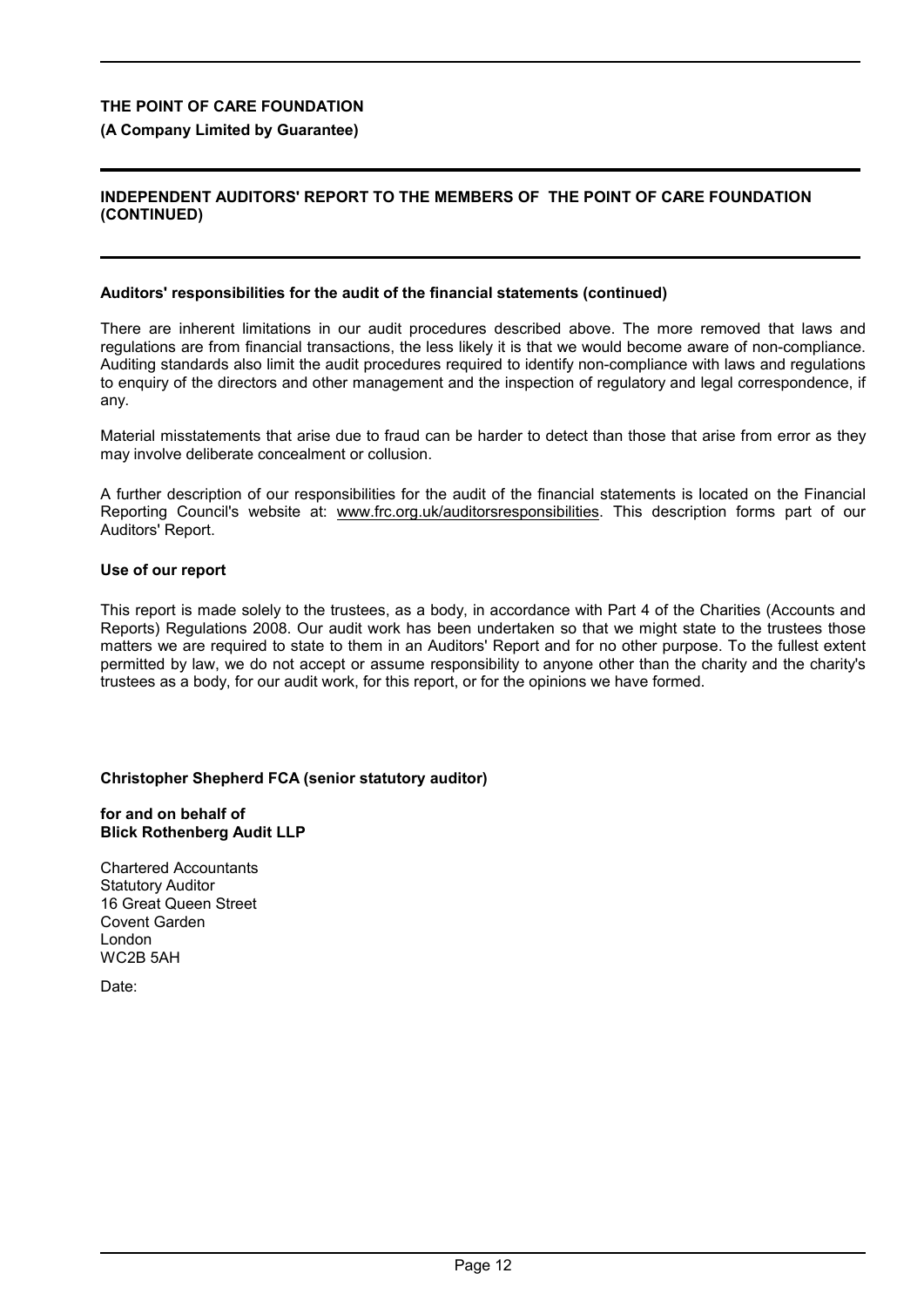### **(A Company Limited by Guarantee)**

### **INDEPENDENT AUDITORS' REPORT TO THE MEMBERS OF THE POINT OF CARE FOUNDATION (CONTINUED)**

#### **Auditors' responsibilities for the audit of the financial statements (continued)**

There are inherent limitations in our audit procedures described above. The more removed that laws and regulations are from financial transactions, the less likely it is that we would become aware of non-compliance. Auditing standards also limit the audit procedures required to identify non-compliance with laws and regulations to enquiry of the directors and other management and the inspection of regulatory and legal correspondence, if any.

Material misstatements that arise due to fraud can be harder to detect than those that arise from error as they may involve deliberate concealment or collusion.

A further description of our responsibilities for the audit of the financial statements is located on the Financial Reporting Council's website at: www.frc.org.uk/auditorsresponsibilities. This description forms part of our Auditors' Report.

#### **Use of our report**

This report is made solely to the trustees, as a body, in accordance with Part 4 of the Charities (Accounts and Reports) Regulations 2008. Our audit work has been undertaken so that we might state to the trustees those matters we are required to state to them in an Auditors' Report and for no other purpose. To the fullest extent permitted by law, we do not accept or assume responsibility to anyone other than the charity and the charity's trustees as a body, for our audit work, for this report, or for the opinions we have formed.

### **Christopher Shepherd FCA (senior statutory auditor)**

**for and on behalf of Blick Rothenberg Audit LLP** 

Chartered Accountants Statutory Auditor 16 Great Queen Street Covent Garden London WC2B 5AH

Date: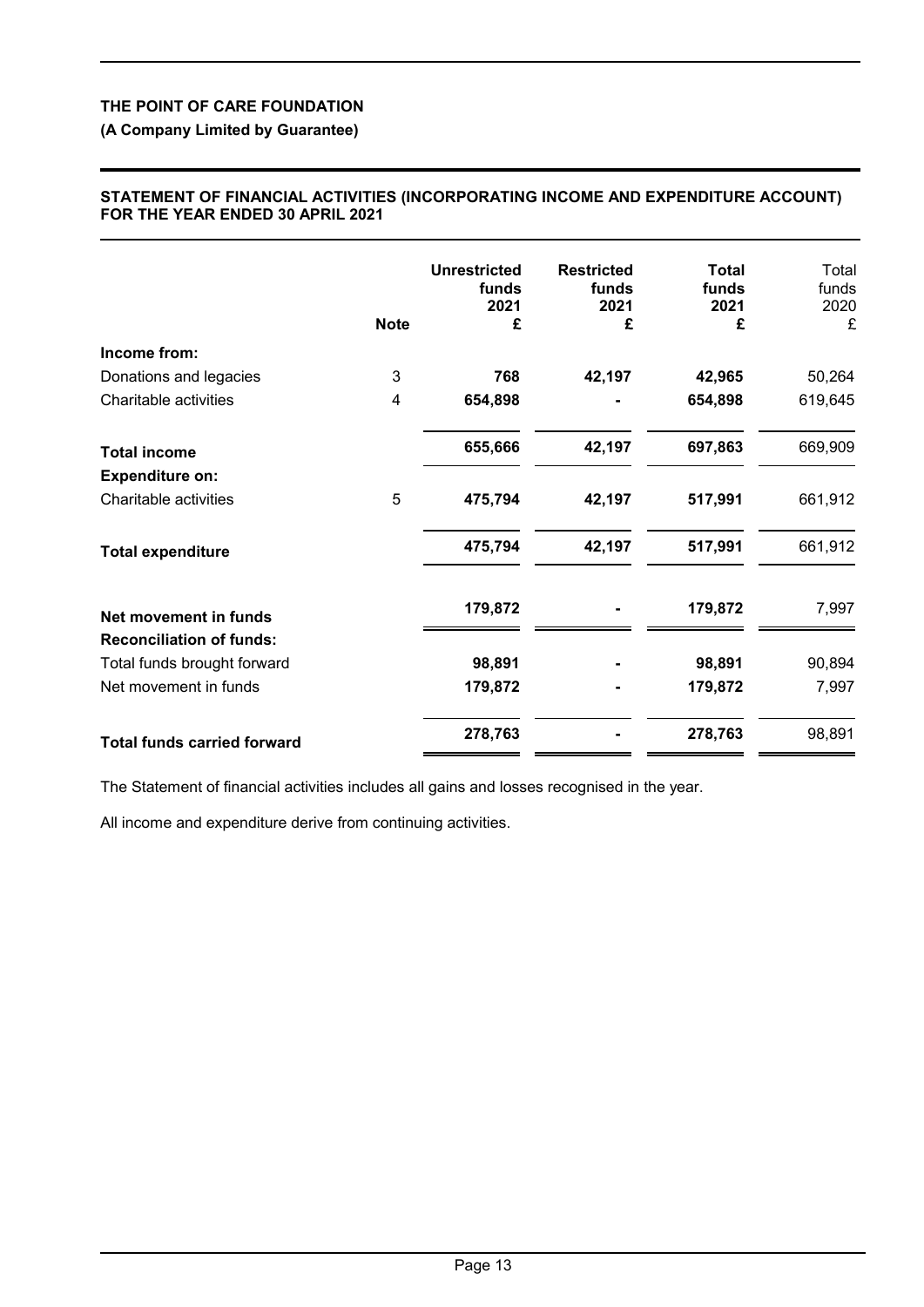# **(A Company Limited by Guarantee)**

### **STATEMENT OF FINANCIAL ACTIVITIES (INCORPORATING INCOME AND EXPENDITURE ACCOUNT) FOR THE YEAR ENDED 30 APRIL 2021**

|                                    |                | <b>Unrestricted</b><br>funds<br>2021 | <b>Restricted</b><br>funds<br>2021 | <b>Total</b><br>funds<br>2021 | Total<br>funds<br>2020 |
|------------------------------------|----------------|--------------------------------------|------------------------------------|-------------------------------|------------------------|
|                                    | <b>Note</b>    | £                                    | £                                  | £                             | £                      |
| Income from:                       |                |                                      |                                    |                               |                        |
| Donations and legacies             | 3              | 768                                  | 42,197                             | 42,965                        | 50,264                 |
| Charitable activities              | $\overline{4}$ | 654,898                              |                                    | 654,898                       | 619,645                |
| <b>Total income</b>                |                | 655,666                              | 42,197                             | 697,863                       | 669,909                |
| <b>Expenditure on:</b>             |                |                                      |                                    |                               |                        |
| Charitable activities              | 5              | 475,794                              | 42,197                             | 517,991                       | 661,912                |
| <b>Total expenditure</b>           |                | 475,794                              | 42,197                             | 517,991                       | 661,912                |
| Net movement in funds              |                | 179,872                              |                                    | 179,872                       | 7,997                  |
| <b>Reconciliation of funds:</b>    |                |                                      |                                    |                               |                        |
| Total funds brought forward        |                | 98,891                               |                                    | 98,891                        | 90,894                 |
| Net movement in funds              |                | 179,872                              |                                    | 179,872                       | 7,997                  |
| <b>Total funds carried forward</b> |                | 278,763                              |                                    | 278,763                       | 98,891                 |

The Statement of financial activities includes all gains and losses recognised in the year.

All income and expenditure derive from continuing activities.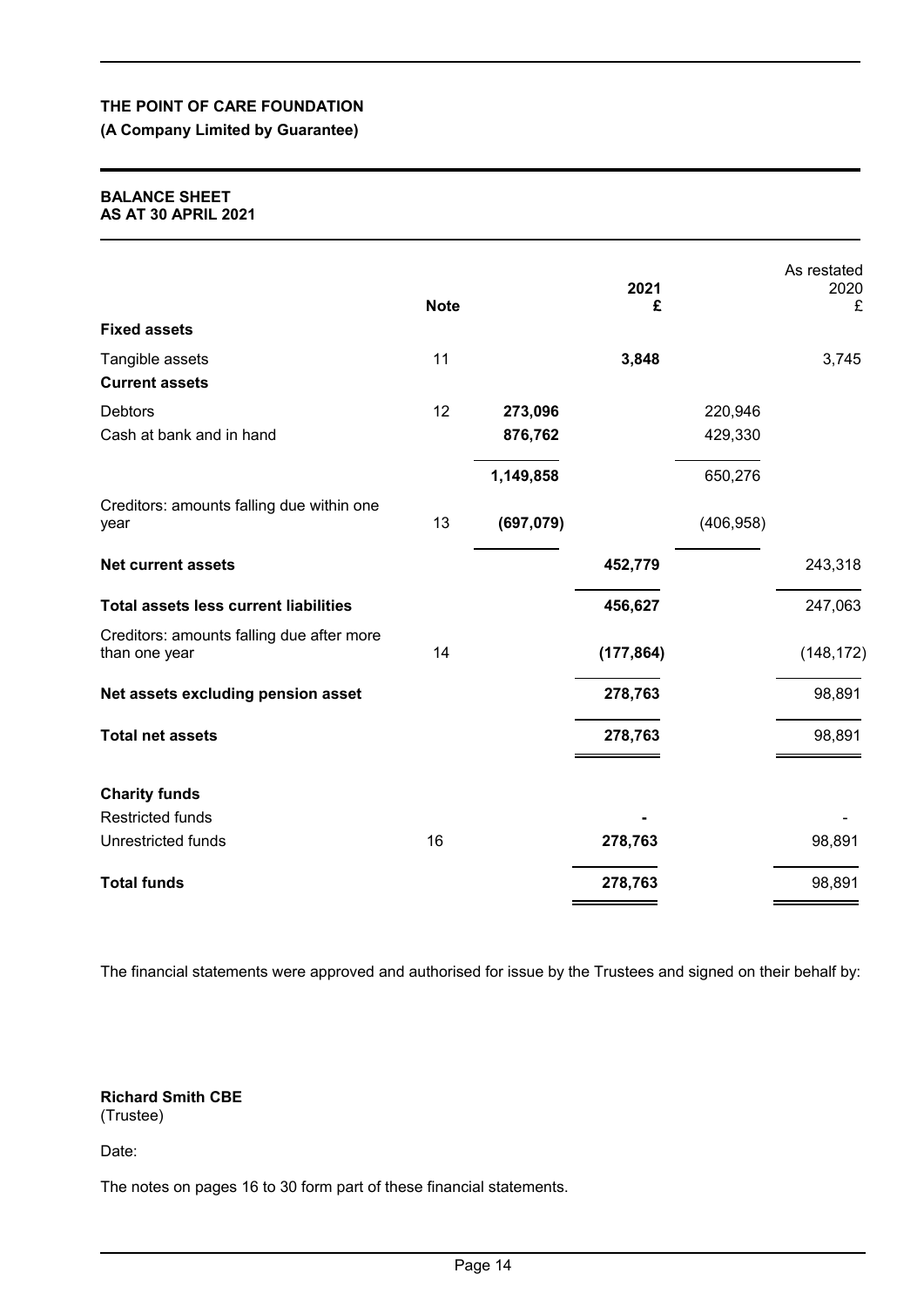**(A Company Limited by Guarantee)**

### **BALANCE SHEET AS AT 30 APRIL 2021**

| <b>Fixed assets</b>                                        | <b>Note</b> |            | 2021<br>£  |            | As restated<br>2020<br>£ |
|------------------------------------------------------------|-------------|------------|------------|------------|--------------------------|
|                                                            |             |            |            |            |                          |
| Tangible assets<br><b>Current assets</b>                   | 11          |            | 3,848      |            | 3,745                    |
| <b>Debtors</b>                                             | 12          | 273,096    |            | 220,946    |                          |
| Cash at bank and in hand                                   |             | 876,762    |            | 429,330    |                          |
|                                                            |             | 1,149,858  |            | 650,276    |                          |
| Creditors: amounts falling due within one<br>year          | 13          | (697, 079) |            | (406, 958) |                          |
| <b>Net current assets</b>                                  |             |            | 452,779    |            | 243,318                  |
| <b>Total assets less current liabilities</b>               |             |            | 456,627    |            | 247,063                  |
| Creditors: amounts falling due after more<br>than one year | 14          |            | (177, 864) |            | (148, 172)               |
| Net assets excluding pension asset                         |             |            | 278,763    |            | 98,891                   |
| <b>Total net assets</b>                                    |             |            | 278,763    |            | 98,891                   |
| <b>Charity funds</b>                                       |             |            |            |            |                          |
| <b>Restricted funds</b>                                    |             |            |            |            |                          |
| Unrestricted funds                                         | 16          |            | 278,763    |            | 98,891                   |
| <b>Total funds</b>                                         |             |            | 278,763    |            | 98,891                   |

The financial statements were approved and authorised for issue by the Trustees and signed on their behalf by:

**Richard Smith CBE** (Trustee)

Date:

The notes on pages 16 to 30 form part of these financial statements.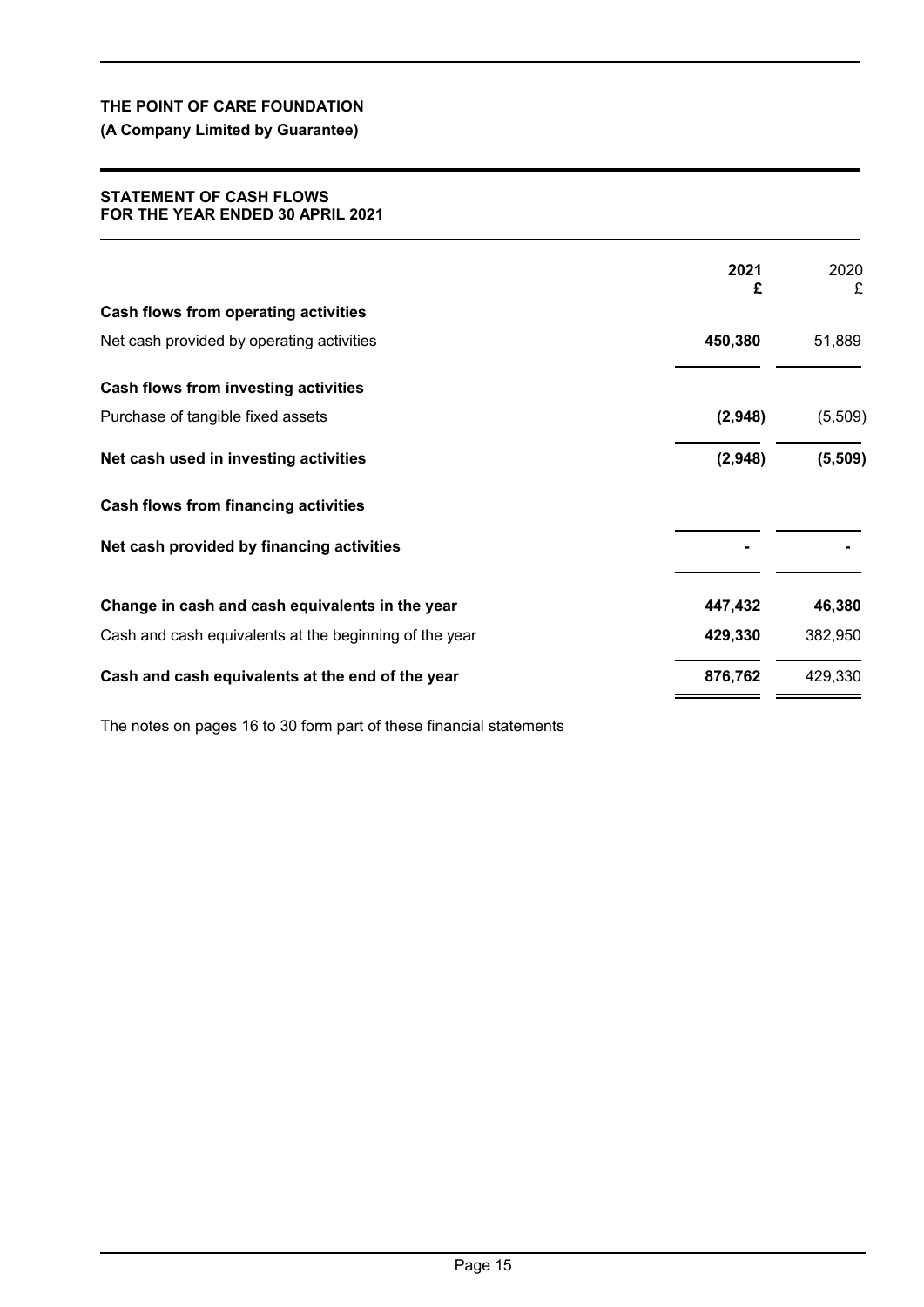**(A Company Limited by Guarantee)**

#### **STATEMENT OF CASH FLOWS FOR THE YEAR ENDED 30 APRIL 2021**

|                                                        | 2021    | 2020<br>£ |
|--------------------------------------------------------|---------|-----------|
| Cash flows from operating activities                   | £       |           |
| Net cash provided by operating activities              | 450,380 | 51,889    |
| Cash flows from investing activities                   |         |           |
| Purchase of tangible fixed assets                      | (2,948) | (5,509)   |
| Net cash used in investing activities                  | (2,948) | (5, 509)  |
| <b>Cash flows from financing activities</b>            |         |           |
| Net cash provided by financing activities              |         |           |
| Change in cash and cash equivalents in the year        | 447,432 | 46,380    |
| Cash and cash equivalents at the beginning of the year | 429,330 | 382,950   |
| Cash and cash equivalents at the end of the year       | 876,762 | 429,330   |

The notes on pages 16 to 30 form part of these financial statements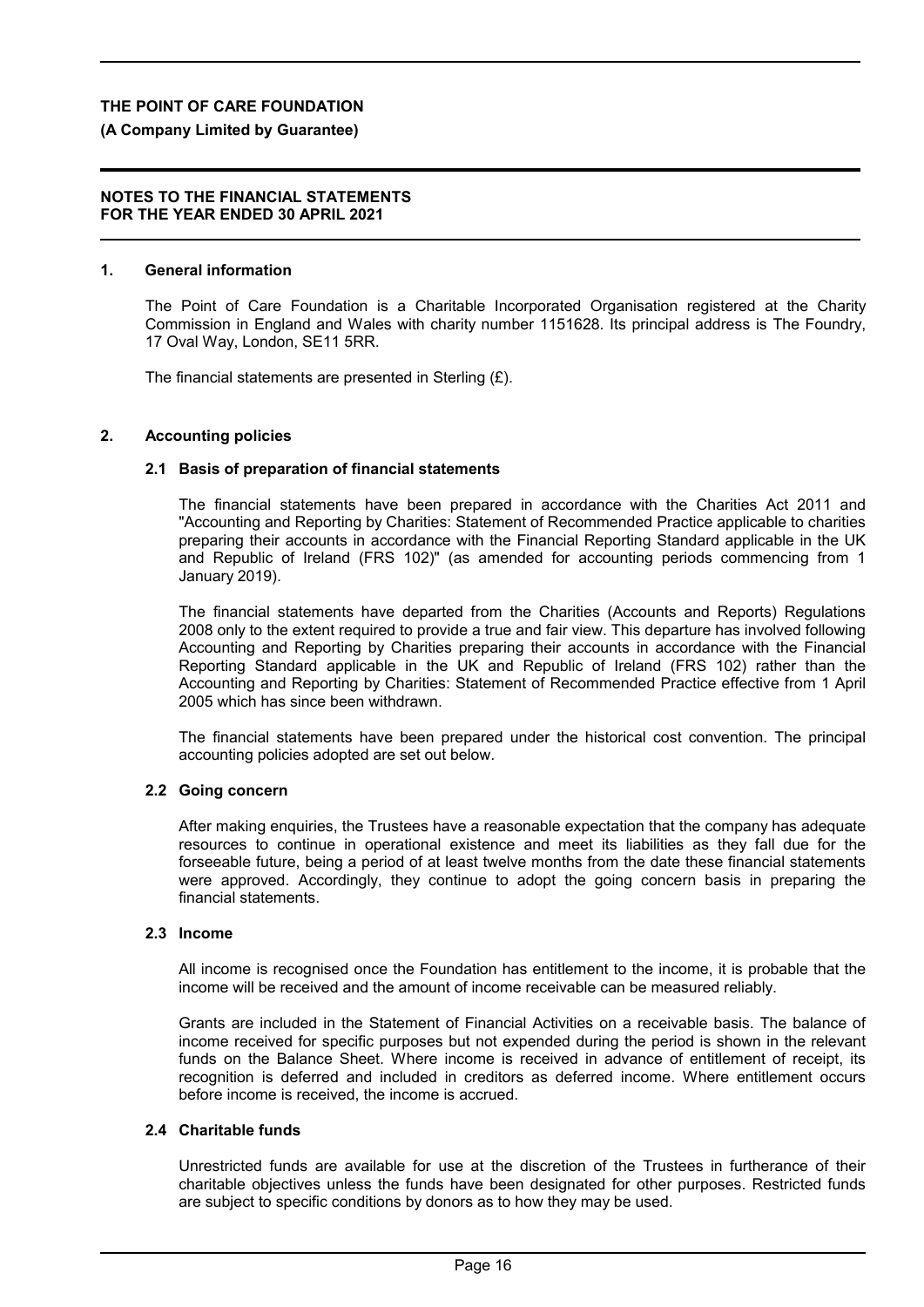### **(A Company Limited by Guarantee)**

#### **NOTES TO THE FINANCIAL STATEMENTS FOR THE YEAR ENDED 30 APRIL 2021**

#### **1. General information**

The Point of Care Foundation is a Charitable Incorporated Organisation registered at the Charity Commission in England and Wales with charity number 1151628. Its principal address is The Foundry, 17 Oval Way, London, SE11 5RR.

The financial statements are presented in Sterling  $(E)$ .

#### **2. Accounting policies**

### **2.1 Basis of preparation of financial statements**

The financial statements have been prepared in accordance with the Charities Act 2011 and "Accounting and Reporting by Charities: Statement of Recommended Practice applicable to charities preparing their accounts in accordance with the Financial Reporting Standard applicable in the UK and Republic of Ireland (FRS 102)" (as amended for accounting periods commencing from 1 January 2019).

The financial statements have departed from the Charities (Accounts and Reports) Regulations 2008 only to the extent required to provide a true and fair view. This departure has involved following Accounting and Reporting by Charities preparing their accounts in accordance with the Financial Reporting Standard applicable in the UK and Republic of Ireland (FRS 102) rather than the Accounting and Reporting by Charities: Statement of Recommended Practice effective from 1 April 2005 which has since been withdrawn.

The financial statements have been prepared under the historical cost convention. The principal accounting policies adopted are set out below.

### **2.2 Going concern**

After making enquiries, the Trustees have a reasonable expectation that the company has adequate resources to continue in operational existence and meet its liabilities as they fall due for the forseeable future, being a period of at least twelve months from the date these financial statements were approved. Accordingly, they continue to adopt the going concern basis in preparing the financial statements.

#### **2.3 Income**

All income is recognised once the Foundation has entitlement to the income, it is probable that the income will be received and the amount of income receivable can be measured reliably.

Grants are included in the Statement of Financial Activities on a receivable basis. The balance of income received for specific purposes but not expended during the period is shown in the relevant funds on the Balance Sheet. Where income is received in advance of entitlement of receipt, its recognition is deferred and included in creditors as deferred income. Where entitlement occurs before income is received, the income is accrued.

### **2.4 Charitable funds**

Unrestricted funds are available for use at the discretion of the Trustees in furtherance of their charitable objectives unless the funds have been designated for other purposes. Restricted funds are subject to specific conditions by donors as to how they may be used.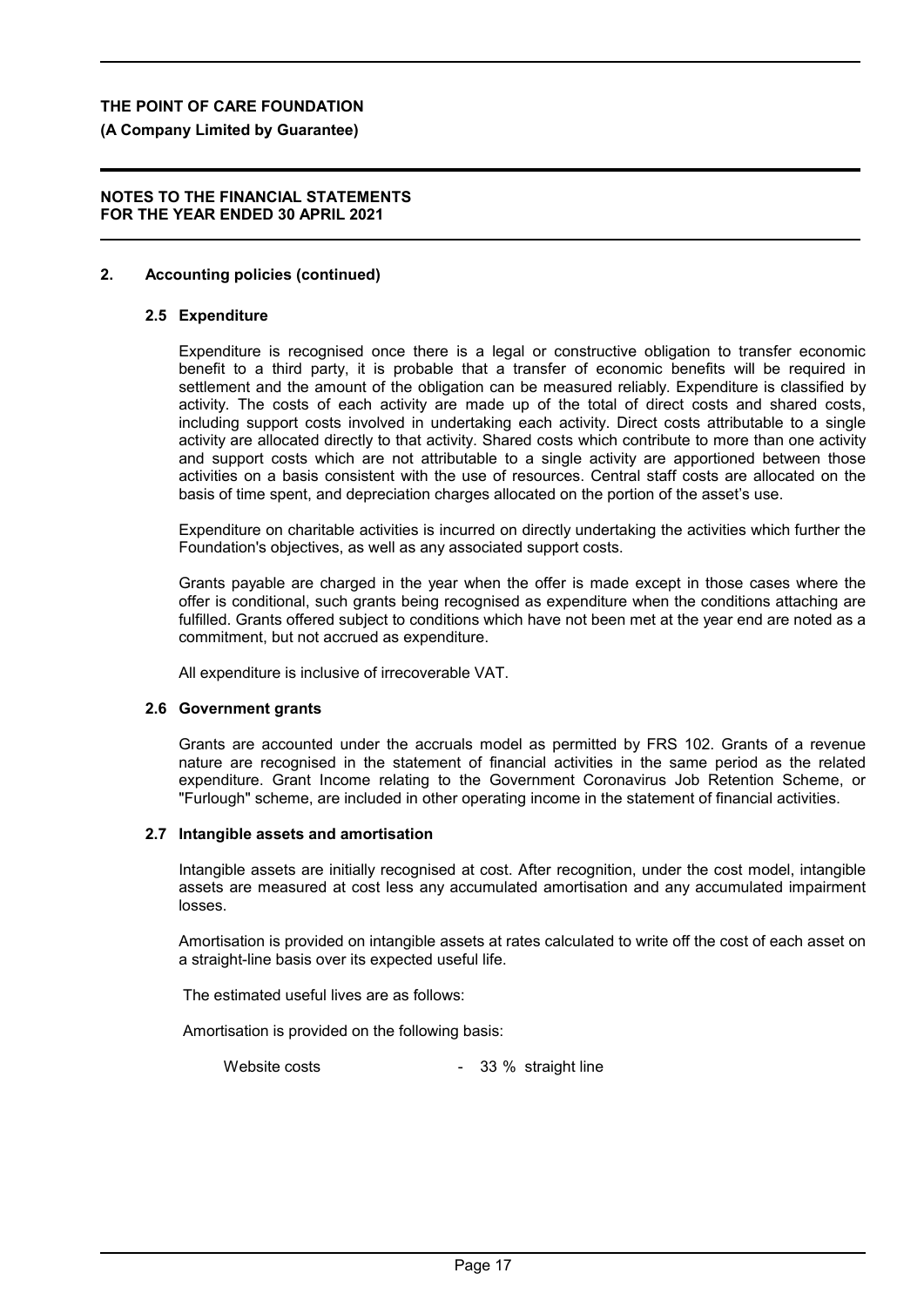**(A Company Limited by Guarantee)**

### **NOTES TO THE FINANCIAL STATEMENTS FOR THE YEAR ENDED 30 APRIL 2021**

### **2. Accounting policies (continued)**

#### **2.5 Expenditure**

Expenditure is recognised once there is a legal or constructive obligation to transfer economic benefit to a third party, it is probable that a transfer of economic benefits will be required in settlement and the amount of the obligation can be measured reliably. Expenditure is classified by activity. The costs of each activity are made up of the total of direct costs and shared costs, including support costs involved in undertaking each activity. Direct costs attributable to a single activity are allocated directly to that activity. Shared costs which contribute to more than one activity and support costs which are not attributable to a single activity are apportioned between those activities on a basis consistent with the use of resources. Central staff costs are allocated on the basis of time spent, and depreciation charges allocated on the portion of the asset's use.

Expenditure on charitable activities is incurred on directly undertaking the activities which further the Foundation's objectives, as well as any associated support costs.

Grants payable are charged in the year when the offer is made except in those cases where the offer is conditional, such grants being recognised as expenditure when the conditions attaching are fulfilled. Grants offered subject to conditions which have not been met at the year end are noted as a commitment, but not accrued as expenditure.

All expenditure is inclusive of irrecoverable VAT.

#### **2.6 Government grants**

Grants are accounted under the accruals model as permitted by FRS 102. Grants of a revenue nature are recognised in the statement of financial activities in the same period as the related expenditure. Grant Income relating to the Government Coronavirus Job Retention Scheme, or "Furlough" scheme, are included in other operating income in the statement of financial activities.

#### **2.7 Intangible assets and amortisation**

Intangible assets are initially recognised at cost. After recognition, under the cost model, intangible assets are measured at cost less any accumulated amortisation and any accumulated impairment losses.

Amortisation is provided on intangible assets at rates calculated to write off the cost of each asset on a straight-line basis over its expected useful life.

The estimated useful lives are as follows:

Amortisation is provided on the following basis:

Website costs - 33 % straight line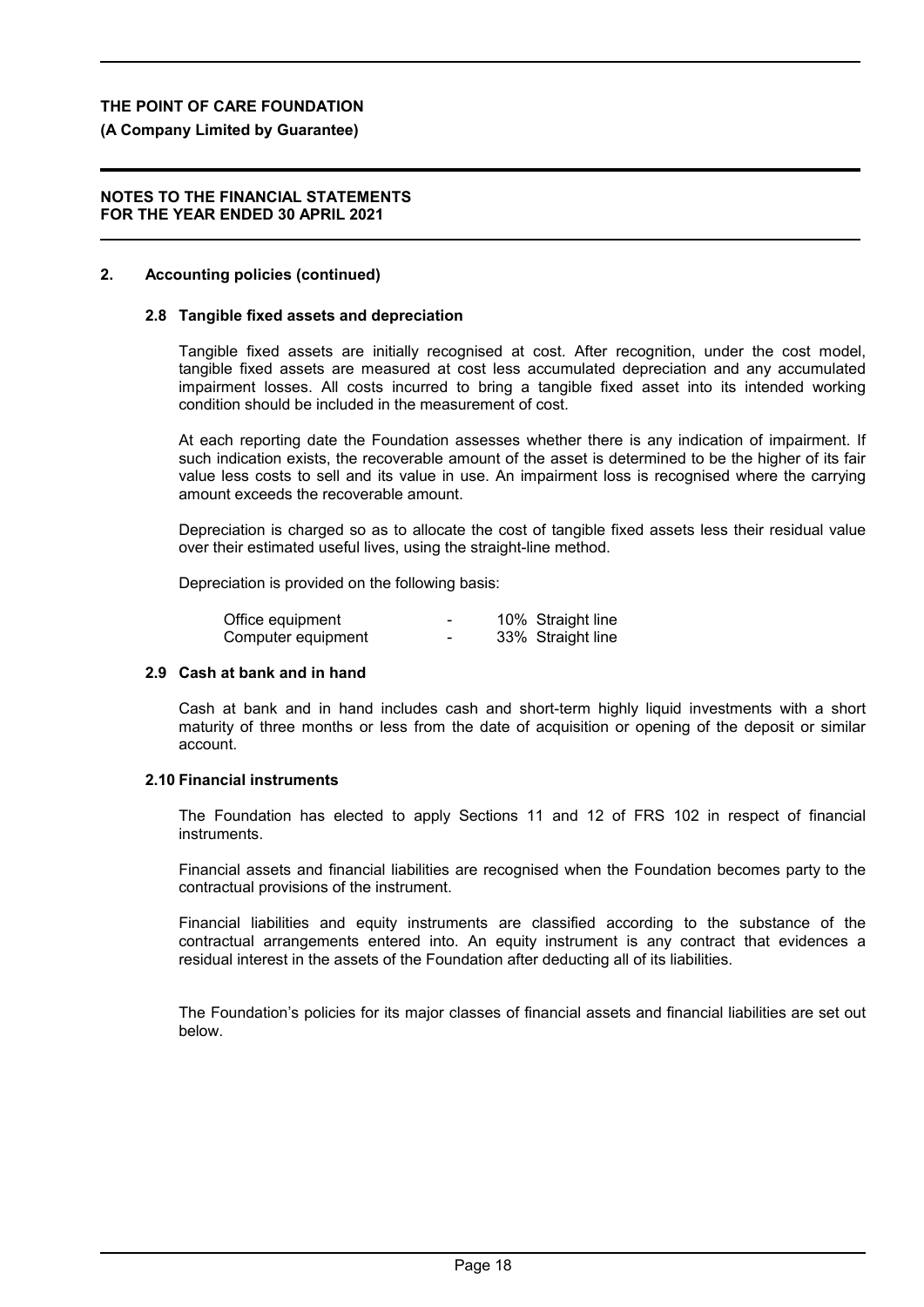### **(A Company Limited by Guarantee)**

#### **NOTES TO THE FINANCIAL STATEMENTS FOR THE YEAR ENDED 30 APRIL 2021**

#### **2. Accounting policies (continued)**

#### **2.8 Tangible fixed assets and depreciation**

Tangible fixed assets are initially recognised at cost. After recognition, under the cost model, tangible fixed assets are measured at cost less accumulated depreciation and any accumulated impairment losses. All costs incurred to bring a tangible fixed asset into its intended working condition should be included in the measurement of cost.

At each reporting date the Foundation assesses whether there is any indication of impairment. If such indication exists, the recoverable amount of the asset is determined to be the higher of its fair value less costs to sell and its value in use. An impairment loss is recognised where the carrying amount exceeds the recoverable amount.

Depreciation is charged so as to allocate the cost of tangible fixed assets less their residual value over their estimated useful lives, using the straight-line method.

Depreciation is provided on the following basis:

| Office equipment   | $\overline{\phantom{0}}$ | 10% Straight line |
|--------------------|--------------------------|-------------------|
| Computer equipment |                          | 33% Straight line |

#### **2.9 Cash at bank and in hand**

Cash at bank and in hand includes cash and short-term highly liquid investments with a short maturity of three months or less from the date of acquisition or opening of the deposit or similar account.

#### **2.10 Financial instruments**

The Foundation has elected to apply Sections 11 and 12 of FRS 102 in respect of financial instruments.

Financial assets and financial liabilities are recognised when the Foundation becomes party to the contractual provisions of the instrument.

Financial liabilities and equity instruments are classified according to the substance of the contractual arrangements entered into. An equity instrument is any contract that evidences a residual interest in the assets of the Foundation after deducting all of its liabilities.

The Foundation's policies for its major classes of financial assets and financial liabilities are set out below.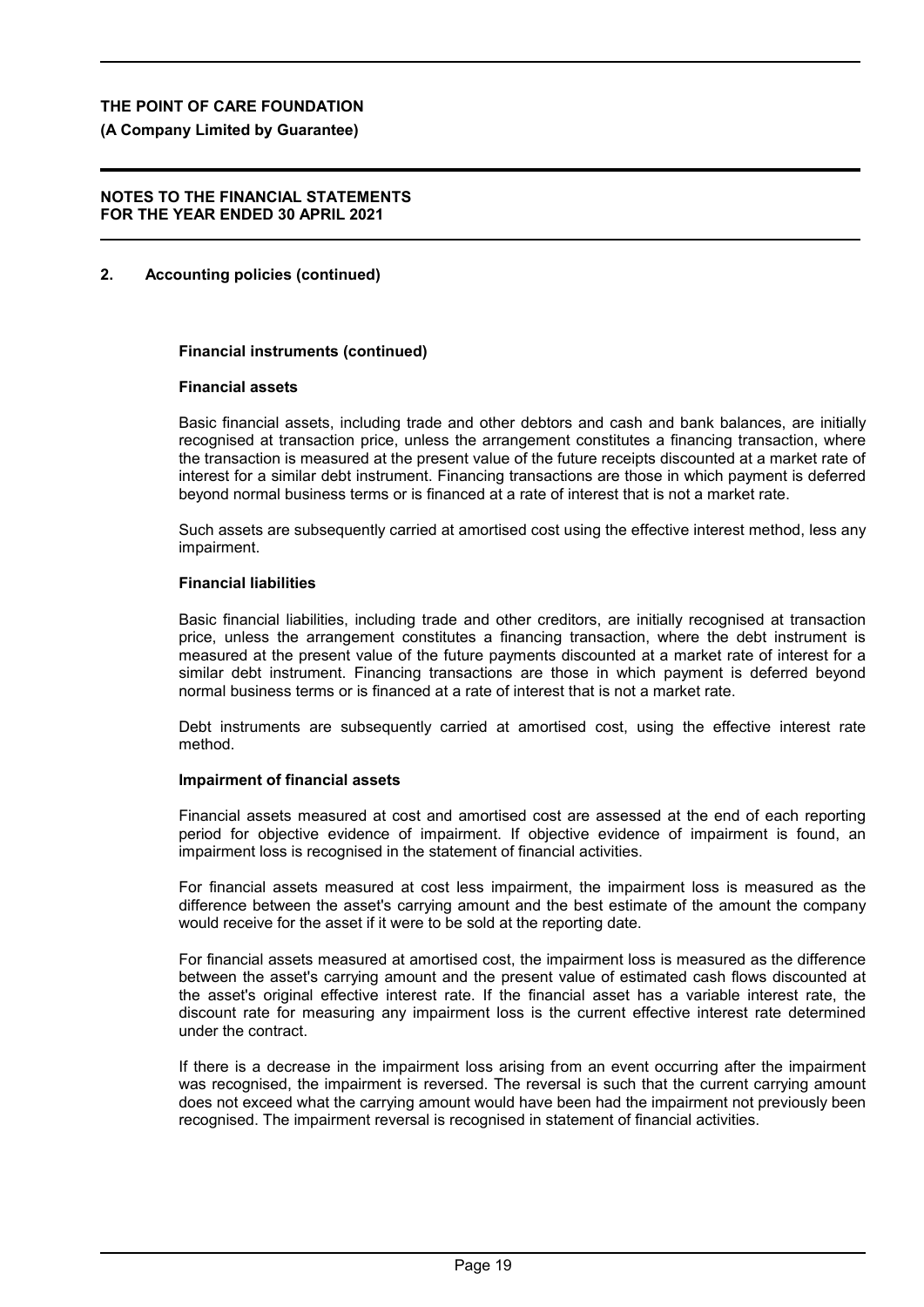**(A Company Limited by Guarantee)**

### **NOTES TO THE FINANCIAL STATEMENTS FOR THE YEAR ENDED 30 APRIL 2021**

### **2. Accounting policies (continued)**

#### **Financial instruments (continued)**

#### **Financial assets**

Basic financial assets, including trade and other debtors and cash and bank balances, are initially recognised at transaction price, unless the arrangement constitutes a financing transaction, where the transaction is measured at the present value of the future receipts discounted at a market rate of interest for a similar debt instrument. Financing transactions are those in which payment is deferred beyond normal business terms or is financed at a rate of interest that is not a market rate.

Such assets are subsequently carried at amortised cost using the effective interest method, less any impairment.

#### **Financial liabilities**

Basic financial liabilities, including trade and other creditors, are initially recognised at transaction price, unless the arrangement constitutes a financing transaction, where the debt instrument is measured at the present value of the future payments discounted at a market rate of interest for a similar debt instrument. Financing transactions are those in which payment is deferred beyond normal business terms or is financed at a rate of interest that is not a market rate.

Debt instruments are subsequently carried at amortised cost, using the effective interest rate method.

#### **Impairment of financial assets**

Financial assets measured at cost and amortised cost are assessed at the end of each reporting period for objective evidence of impairment. If objective evidence of impairment is found, an impairment loss is recognised in the statement of financial activities.

For financial assets measured at cost less impairment, the impairment loss is measured as the difference between the asset's carrying amount and the best estimate of the amount the company would receive for the asset if it were to be sold at the reporting date.

For financial assets measured at amortised cost, the impairment loss is measured as the difference between the asset's carrying amount and the present value of estimated cash flows discounted at the asset's original effective interest rate. If the financial asset has a variable interest rate, the discount rate for measuring any impairment loss is the current effective interest rate determined under the contract.

If there is a decrease in the impairment loss arising from an event occurring after the impairment was recognised, the impairment is reversed. The reversal is such that the current carrying amount does not exceed what the carrying amount would have been had the impairment not previously been recognised. The impairment reversal is recognised in statement of financial activities.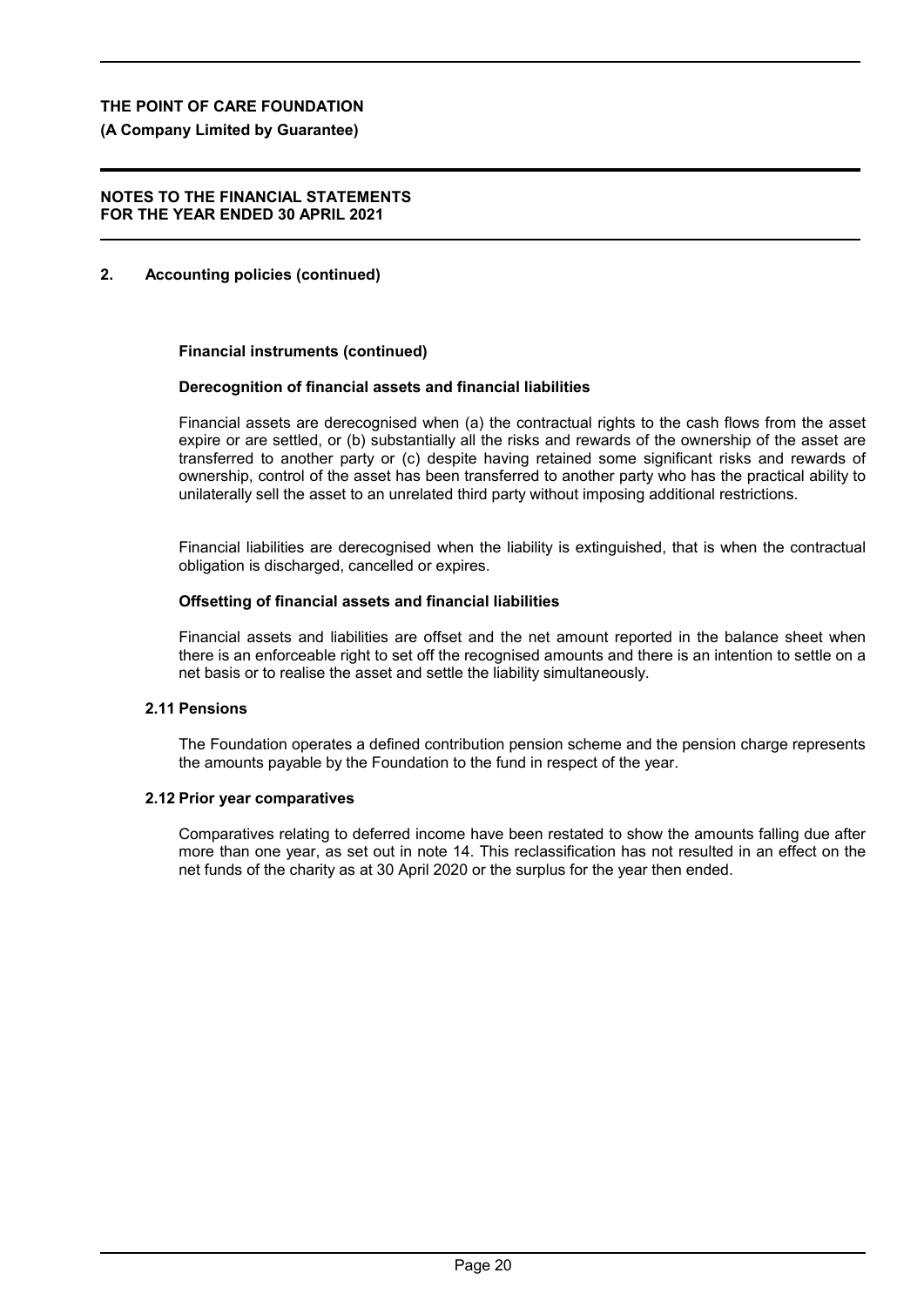**(A Company Limited by Guarantee)**

### **NOTES TO THE FINANCIAL STATEMENTS FOR THE YEAR ENDED 30 APRIL 2021**

### **2. Accounting policies (continued)**

### **Financial instruments (continued)**

### **Derecognition of financial assets and financial liabilities**

Financial assets are derecognised when (a) the contractual rights to the cash flows from the asset expire or are settled, or (b) substantially all the risks and rewards of the ownership of the asset are transferred to another party or (c) despite having retained some significant risks and rewards of ownership, control of the asset has been transferred to another party who has the practical ability to unilaterally sell the asset to an unrelated third party without imposing additional restrictions.

Financial liabilities are derecognised when the liability is extinguished, that is when the contractual obligation is discharged, cancelled or expires.

### **Offsetting of financial assets and financial liabilities**

Financial assets and liabilities are offset and the net amount reported in the balance sheet when there is an enforceable right to set off the recognised amounts and there is an intention to settle on a net basis or to realise the asset and settle the liability simultaneously.

### **2.11 Pensions**

The Foundation operates a defined contribution pension scheme and the pension charge represents the amounts payable by the Foundation to the fund in respect of the year.

### **2.12 Prior year comparatives**

Comparatives relating to deferred income have been restated to show the amounts falling due after more than one year, as set out in note 14. This reclassification has not resulted in an effect on the net funds of the charity as at 30 April 2020 or the surplus for the year then ended.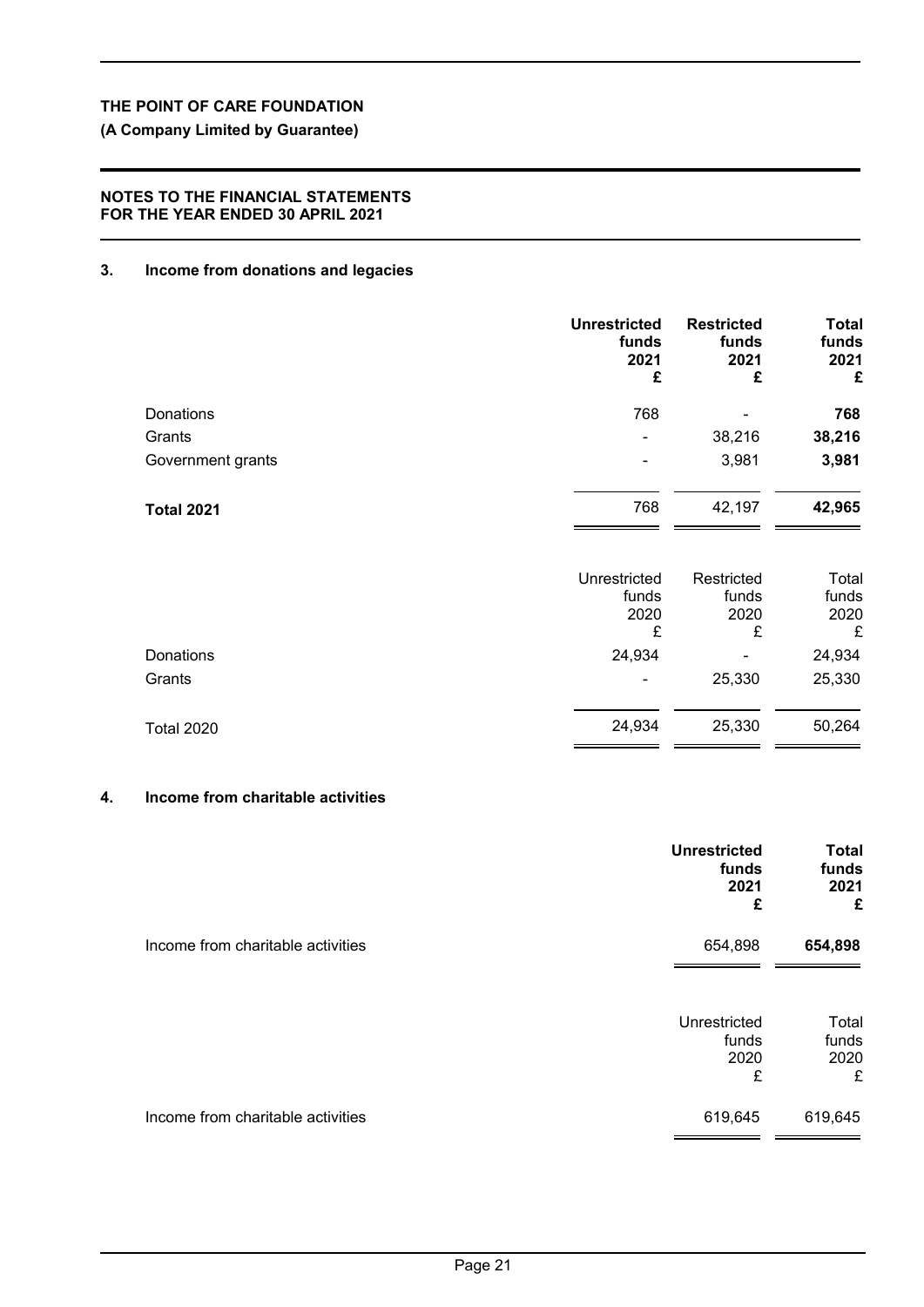**(A Company Limited by Guarantee)**

### **NOTES TO THE FINANCIAL STATEMENTS FOR THE YEAR ENDED 30 APRIL 2021**

### **3. Income from donations and legacies**

|                   | <b>Unrestricted</b><br>funds<br>2021<br>£ | <b>Restricted</b><br>funds<br>2021<br>£ | <b>Total</b><br>funds<br>2021<br>£ |
|-------------------|-------------------------------------------|-----------------------------------------|------------------------------------|
| Donations         | 768                                       |                                         | 768                                |
| Grants            |                                           | 38,216                                  | 38,216                             |
| Government grants |                                           | 3,981                                   | 3,981                              |
| <b>Total 2021</b> | 768                                       | 42,197                                  | 42,965                             |
|                   | Unrestricted<br>funds<br>2020             | Restricted<br>funds<br>2020             | Total<br>funds<br>2020             |
| Donations         | £<br>24,934                               | £                                       | £<br>24,934                        |
| Grants            |                                           | 25,330                                  | 25,330                             |
| <b>Total 2020</b> | 24,934                                    | 25,330                                  | 50,264                             |

### **4. Income from charitable activities**

|                                   | <b>Unrestricted</b><br>funds<br>2021<br>£ | <b>Total</b><br>funds<br>2021<br>£ |
|-----------------------------------|-------------------------------------------|------------------------------------|
| Income from charitable activities | 654,898                                   | 654,898                            |
|                                   | Unrestricted<br>funds<br>2020<br>£        | Total<br>funds<br>2020<br>£        |
| Income from charitable activities | 619,645                                   | 619,645                            |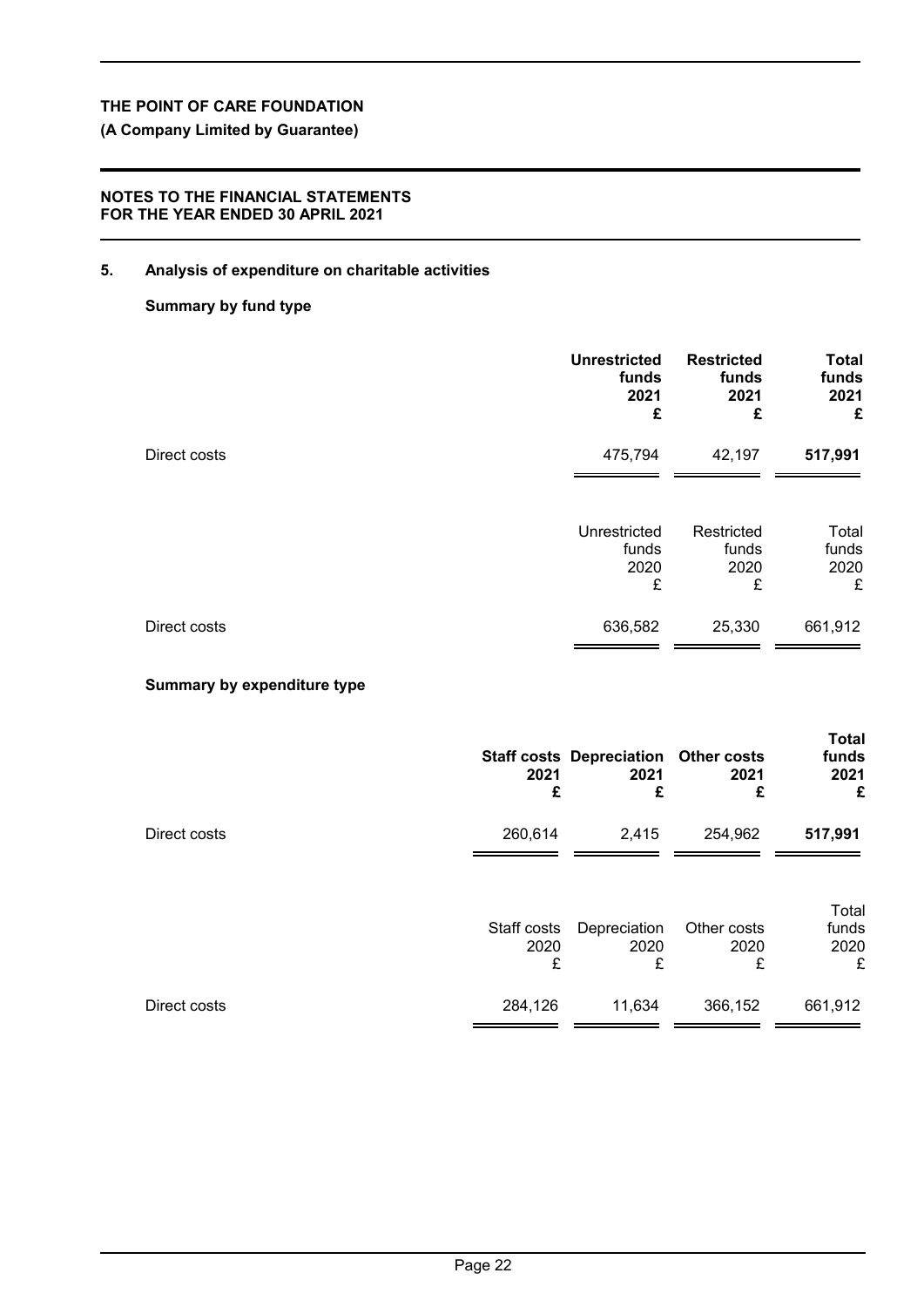**(A Company Limited by Guarantee)**

### **NOTES TO THE FINANCIAL STATEMENTS FOR THE YEAR ENDED 30 APRIL 2021**

### **5. Analysis of expenditure on charitable activities**

# **Summary by fund type**

|              | <b>Unrestricted</b> | <b>Restricted</b> | <b>Total</b> |
|--------------|---------------------|-------------------|--------------|
|              | funds               | funds             | funds        |
|              | 2021                | 2021              | 2021         |
|              | £                   | £                 | £            |
| Direct costs | 475,794             | 42,197            | 517,991      |
|              | Unrestricted        | Restricted        | Total        |
|              | funds               | funds             | funds        |
|              | 2020                | 2020              | 2020         |
|              | £                   | £                 | £            |
| Direct costs | 636,582             | 25,330            | 661,912      |

### **Summary by expenditure type**

|              | 2021<br>£                | <b>Staff costs Depreciation Other costs</b><br>2021<br>£ | 2021<br>£                | <b>Total</b><br>funds<br>2021<br>£ |
|--------------|--------------------------|----------------------------------------------------------|--------------------------|------------------------------------|
| Direct costs | 260,614                  | 2,415                                                    | 254,962                  | 517,991                            |
|              | Staff costs<br>2020<br>£ | Depreciation<br>2020<br>£                                | Other costs<br>2020<br>£ | Total<br>funds<br>2020<br>£        |
| Direct costs | 284,126                  | 11,634                                                   | 366,152                  | 661,912                            |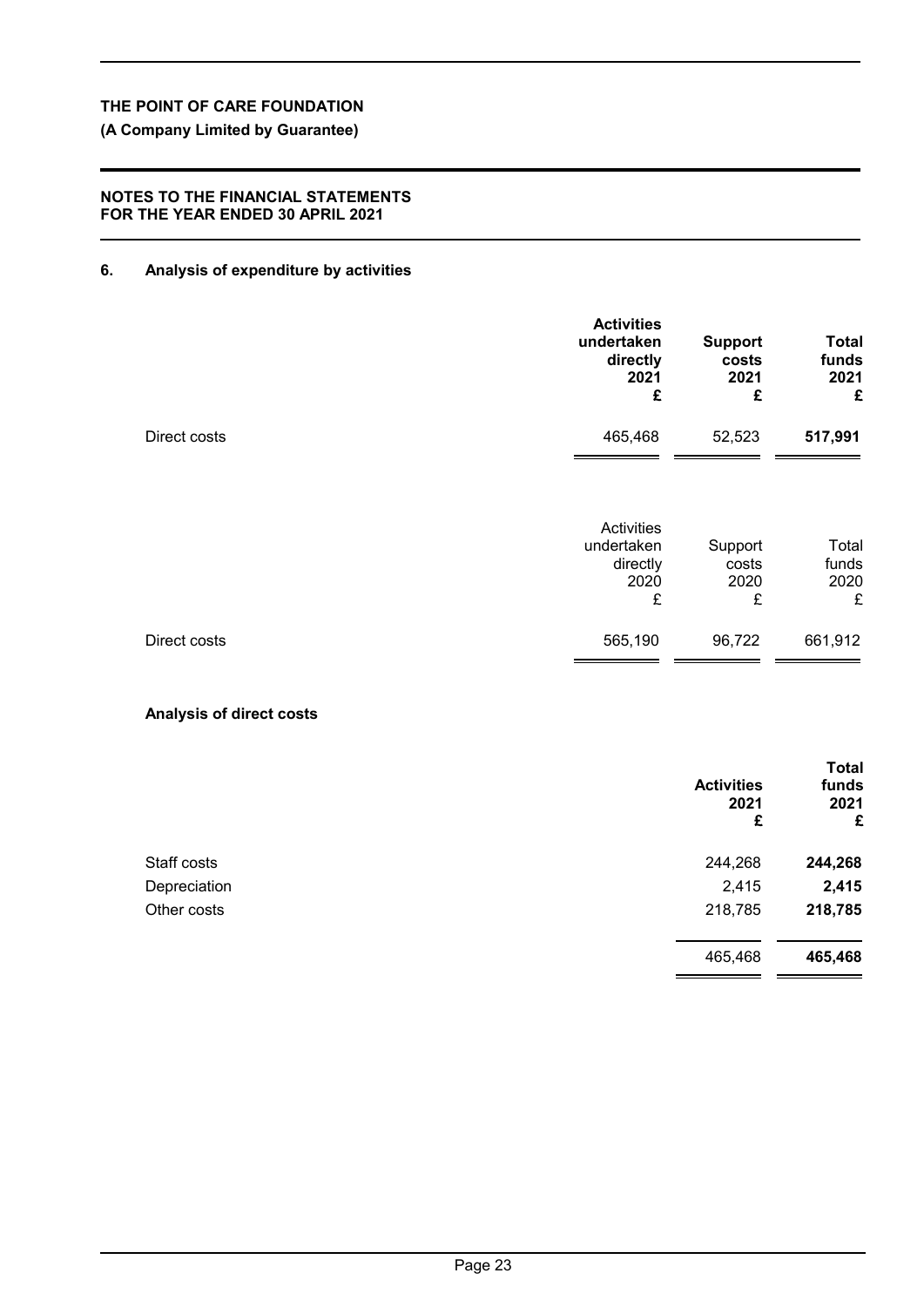**(A Company Limited by Guarantee)**

### **NOTES TO THE FINANCIAL STATEMENTS FOR THE YEAR ENDED 30 APRIL 2021**

### **6. Analysis of expenditure by activities**

|              | <b>Activities</b><br>undertaken<br>directly<br>2021<br>£ | <b>Support</b><br>costs<br>2021<br>£ | <b>Total</b><br>funds<br>2021<br>£ |
|--------------|----------------------------------------------------------|--------------------------------------|------------------------------------|
| Direct costs | 465,468                                                  | 52,523                               | 517,991                            |
|              | Activities<br>undertaken<br>directly<br>2020<br>£        | Support<br>costs<br>2020<br>£        | Total<br>funds<br>2020<br>£        |
| Direct costs | 565,190                                                  | 96,722                               | 661,912                            |

### **Analysis of direct costs**

|              | <b>Activities</b><br>2021<br>£ | <b>Total</b><br>funds<br>2021<br>£ |
|--------------|--------------------------------|------------------------------------|
| Staff costs  | 244,268                        | 244,268                            |
| Depreciation | 2,415                          | 2,415                              |
| Other costs  | 218,785                        | 218,785                            |
|              | 465,468                        | 465,468                            |
|              |                                |                                    |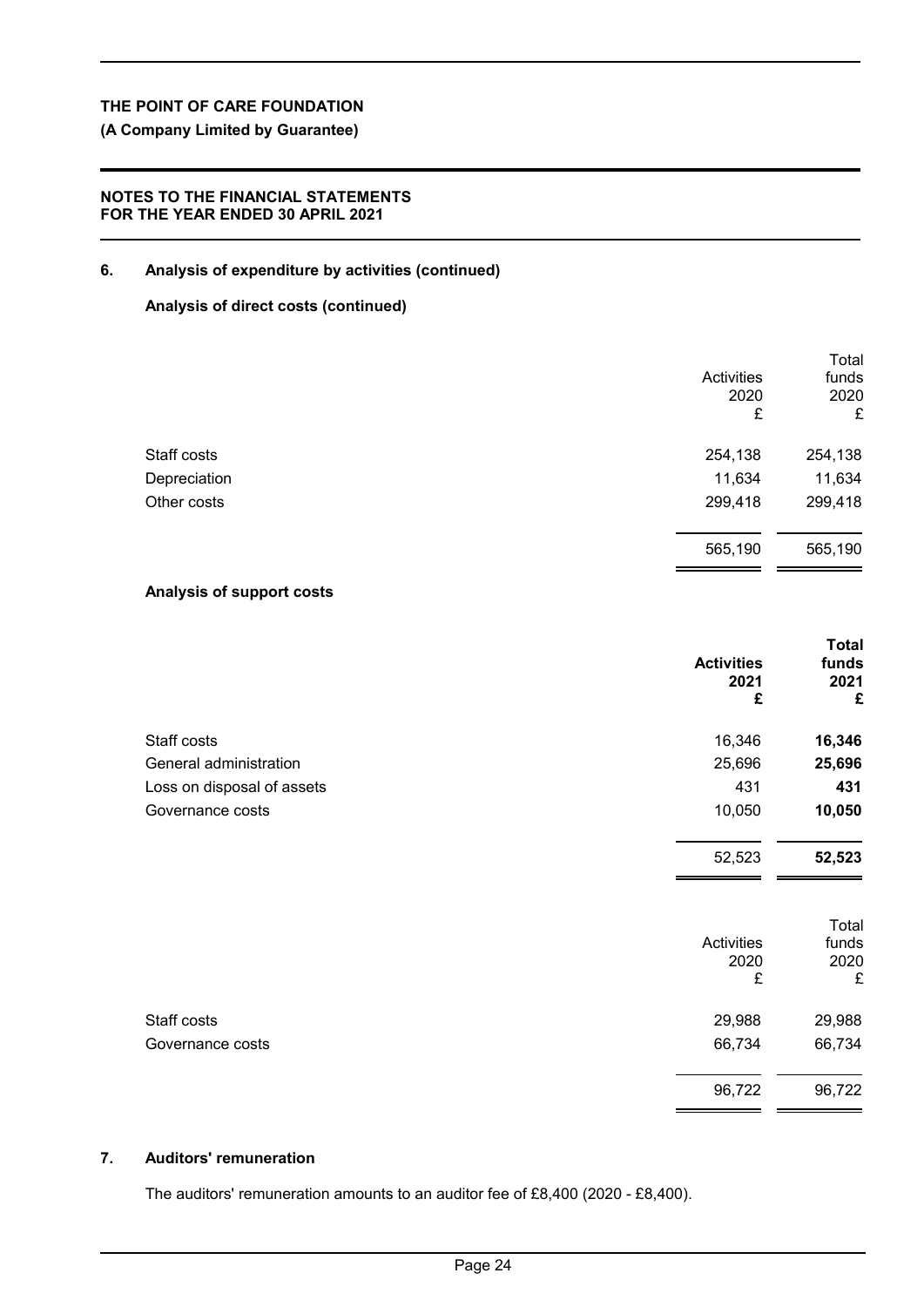**(A Company Limited by Guarantee)**

### **NOTES TO THE FINANCIAL STATEMENTS FOR THE YEAR ENDED 30 APRIL 2021**

### **6. Analysis of expenditure by activities (continued)**

### **Analysis of direct costs (continued)**

|              | Activities<br>2020<br>£ | Total<br>funds<br>2020<br>£ |
|--------------|-------------------------|-----------------------------|
| Staff costs  | 254,138                 | 254,138                     |
| Depreciation | 11,634                  | 11,634                      |
| Other costs  | 299,418                 | 299,418                     |
|              | 565,190                 | 565,190                     |

### **Analysis of support costs**

|                            | <b>Activities</b><br>2021<br>£ | <b>Total</b><br>funds<br>2021<br>£ |
|----------------------------|--------------------------------|------------------------------------|
| Staff costs                | 16,346                         | 16,346                             |
| General administration     | 25,696                         | 25,696                             |
| Loss on disposal of assets | 431                            | 431                                |
| Governance costs           | 10,050                         | 10,050                             |
|                            | 52,523                         | 52,523                             |
|                            |                                | Total                              |
|                            | Activities<br>2020             | funds<br>2020                      |
|                            | £                              | £                                  |
| Staff costs                | 29,988                         | 29,988                             |
| Governance costs           | 66,734                         | 66,734                             |
|                            | 96,722                         | 96,722                             |

# **7. Auditors' remuneration**

The auditors' remuneration amounts to an auditor fee of £8,400 (2020 - £8,400).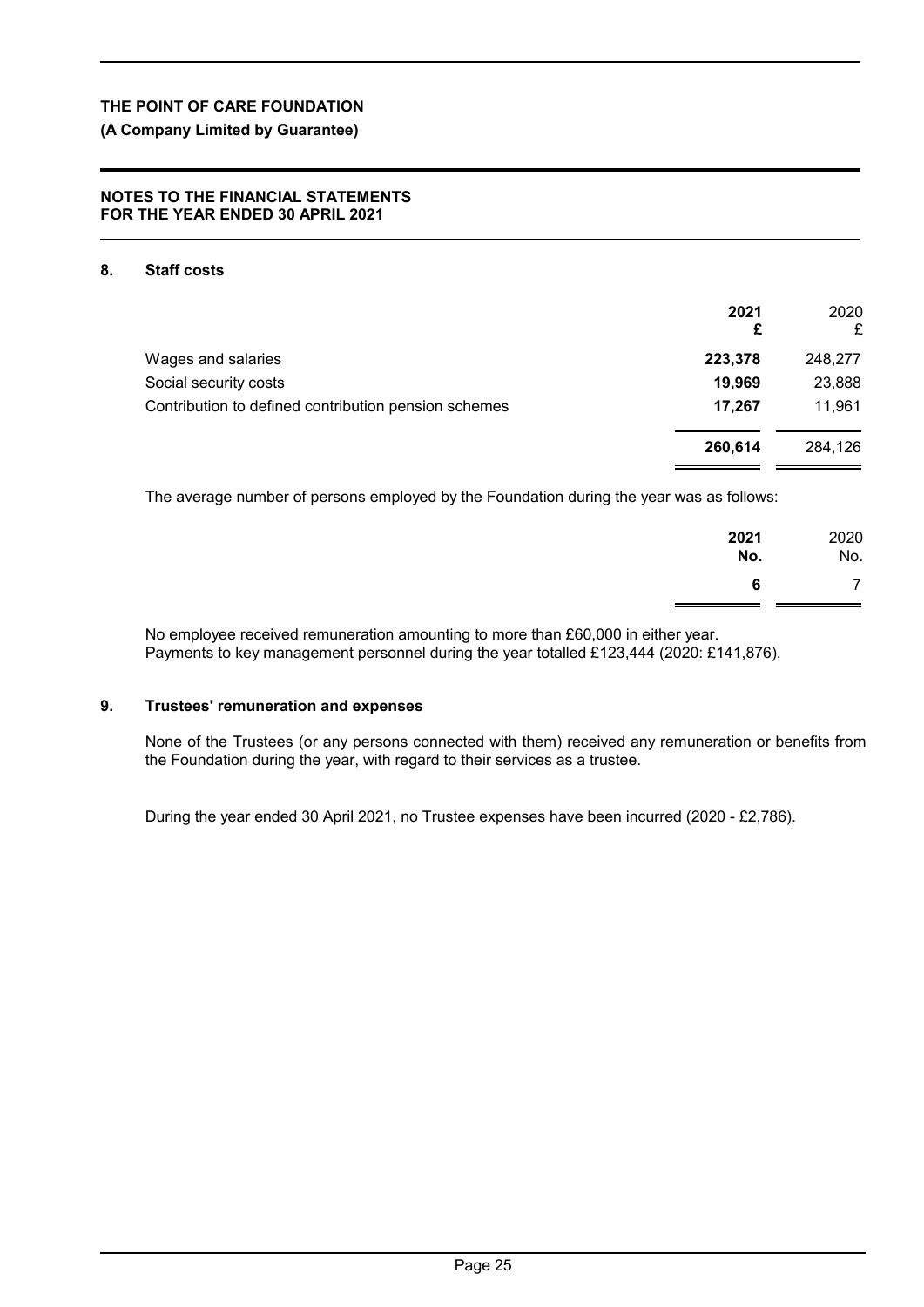### **(A Company Limited by Guarantee)**

#### **NOTES TO THE FINANCIAL STATEMENTS FOR THE YEAR ENDED 30 APRIL 2021**

### **8. Staff costs**

|                                                      | 2021<br>£ | 2020<br>£ |
|------------------------------------------------------|-----------|-----------|
| Wages and salaries                                   | 223,378   | 248,277   |
| Social security costs                                | 19,969    | 23,888    |
| Contribution to defined contribution pension schemes | 17,267    | 11,961    |
|                                                      | 260,614   | 284,126   |

The average number of persons employed by the Foundation during the year was as follows:

| 2021 | 2020           |
|------|----------------|
| No.  | No.            |
| -6   | $\overline{ }$ |

No employee received remuneration amounting to more than £60,000 in either year. Payments to key management personnel during the year totalled £123,444 (2020: £141,876).

### **9. Trustees' remuneration and expenses**

None of the Trustees (or any persons connected with them) received any remuneration or benefits from the Foundation during the year, with regard to their services as a trustee.

During the year ended 30 April 2021, no Trustee expenses have been incurred (2020 - £2,786).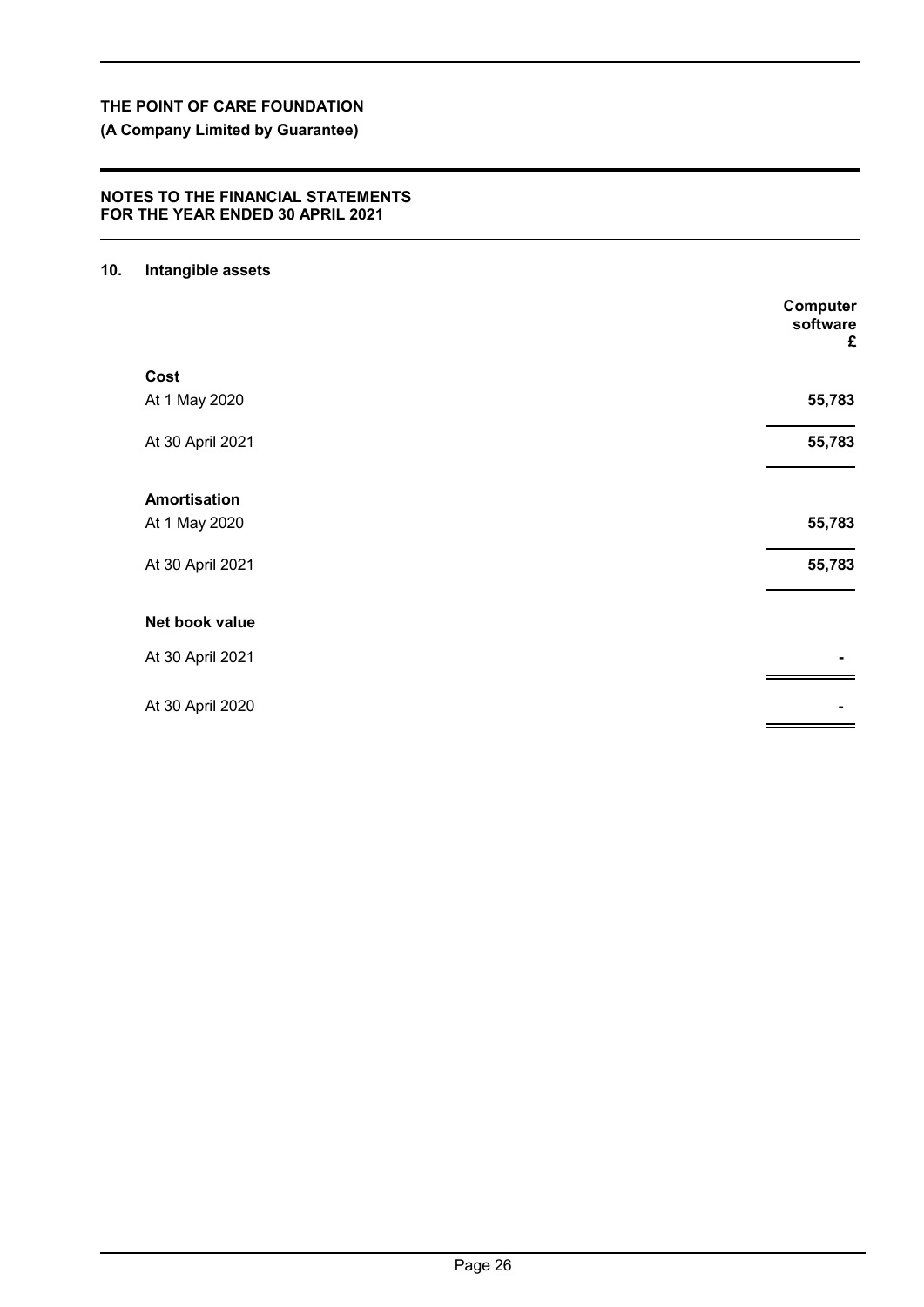**(A Company Limited by Guarantee)**

### **NOTES TO THE FINANCIAL STATEMENTS FOR THE YEAR ENDED 30 APRIL 2021**

# **10. Intangible assets**

|                  | Computer<br>software<br>£ |
|------------------|---------------------------|
| Cost             |                           |
| At 1 May 2020    | 55,783                    |
| At 30 April 2021 | 55,783                    |
| Amortisation     |                           |
| At 1 May 2020    | 55,783                    |
| At 30 April 2021 | 55,783                    |
| Net book value   |                           |
| At 30 April 2021 |                           |
| At 30 April 2020 |                           |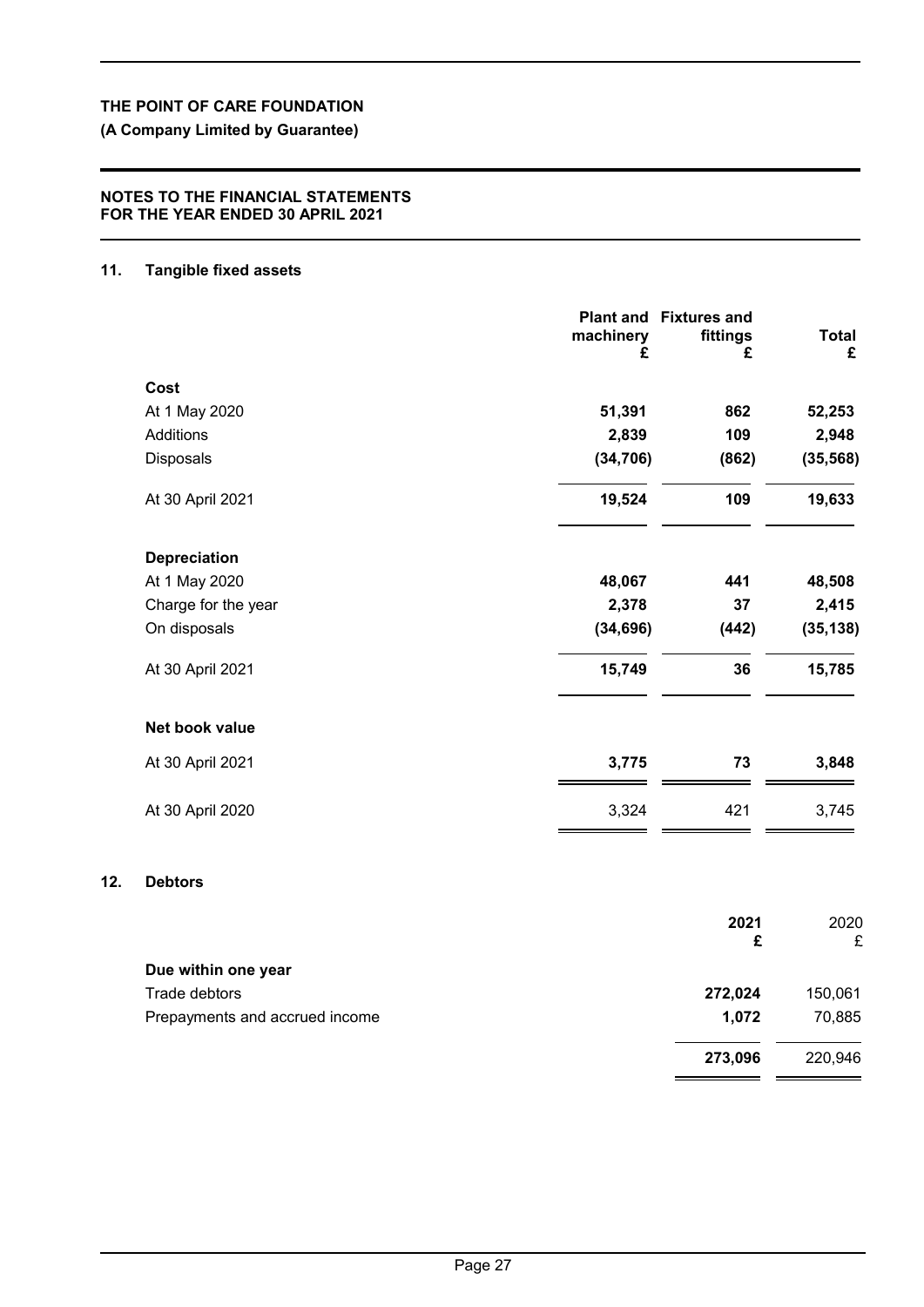**(A Company Limited by Guarantee)**

### **NOTES TO THE FINANCIAL STATEMENTS FOR THE YEAR ENDED 30 APRIL 2021**

### **11. Tangible fixed assets**

**12.** 

|                                | machinery<br>£ | <b>Plant and Fixtures and</b><br>fittings<br>£ | <b>Total</b><br>£ |
|--------------------------------|----------------|------------------------------------------------|-------------------|
| Cost                           |                |                                                |                   |
| At 1 May 2020                  | 51,391         | 862                                            | 52,253            |
| Additions                      | 2,839          | 109                                            | 2,948             |
| Disposals                      | (34, 706)      | (862)                                          | (35, 568)         |
| At 30 April 2021               | 19,524         | 109                                            | 19,633            |
| <b>Depreciation</b>            |                |                                                |                   |
| At 1 May 2020                  | 48,067         | 441                                            | 48,508            |
| Charge for the year            | 2,378          | 37                                             | 2,415             |
| On disposals                   | (34, 696)      | (442)                                          | (35, 138)         |
| At 30 April 2021               | 15,749         | 36                                             | 15,785            |
| Net book value                 |                |                                                |                   |
| At 30 April 2021               | 3,775          | 73                                             | 3,848             |
| At 30 April 2020               | 3,324          | 421                                            | 3,745             |
| <b>Debtors</b>                 |                |                                                |                   |
|                                |                | 2021<br>£                                      | 2020<br>£         |
| Due within one year            |                |                                                |                   |
| Trade debtors                  |                | 272,024                                        | 150,061           |
| Prepayments and accrued income |                | 1,072                                          | 70,885            |

**273,096** 220,946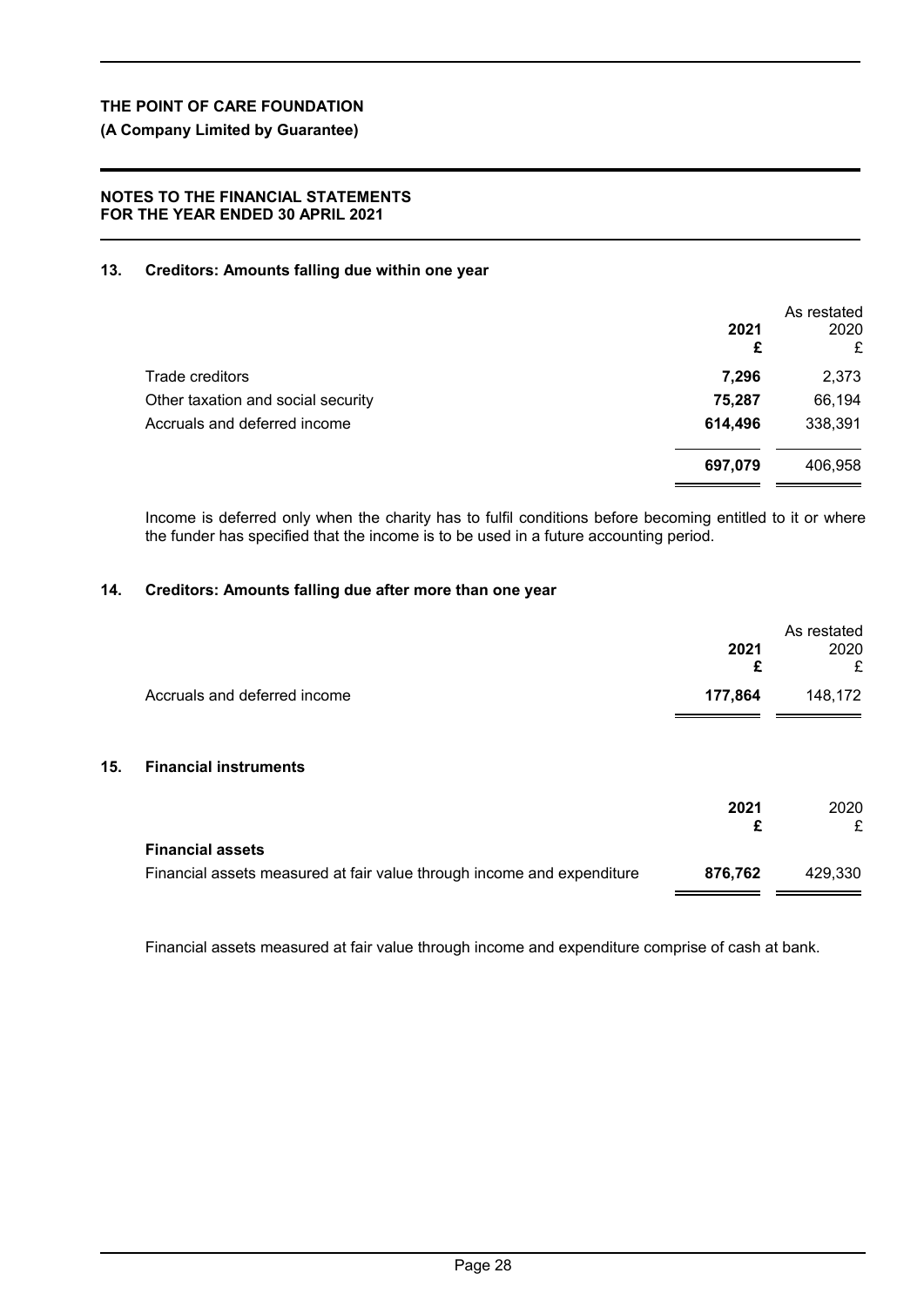**(A Company Limited by Guarantee)**

### **NOTES TO THE FINANCIAL STATEMENTS FOR THE YEAR ENDED 30 APRIL 2021**

### **13. Creditors: Amounts falling due within one year**

|                                              | 2021<br>£ | As restated<br>2020<br>£ |
|----------------------------------------------|-----------|--------------------------|
| Trade creditors                              | 7,296     | 2,373                    |
| 75,287<br>Other taxation and social security |           | 66,194                   |
| 614,496<br>Accruals and deferred income      |           | 338,391                  |
| 697,079                                      |           | 406,958                  |

Income is deferred only when the charity has to fulfil conditions before becoming entitled to it or where the funder has specified that the income is to be used in a future accounting period.

### **14. Creditors: Amounts falling due after more than one year**

|     |                                                                        | 2021<br>£ | As restated<br>2020<br>£ |
|-----|------------------------------------------------------------------------|-----------|--------------------------|
|     | Accruals and deferred income                                           | 177,864   | 148,172                  |
| 15. | <b>Financial instruments</b>                                           |           |                          |
|     |                                                                        | 2021<br>£ | 2020<br>£                |
|     | <b>Financial assets</b>                                                |           |                          |
|     | Financial assets measured at fair value through income and expenditure | 876,762   | 429,330                  |

Financial assets measured at fair value through income and expenditure comprise of cash at bank.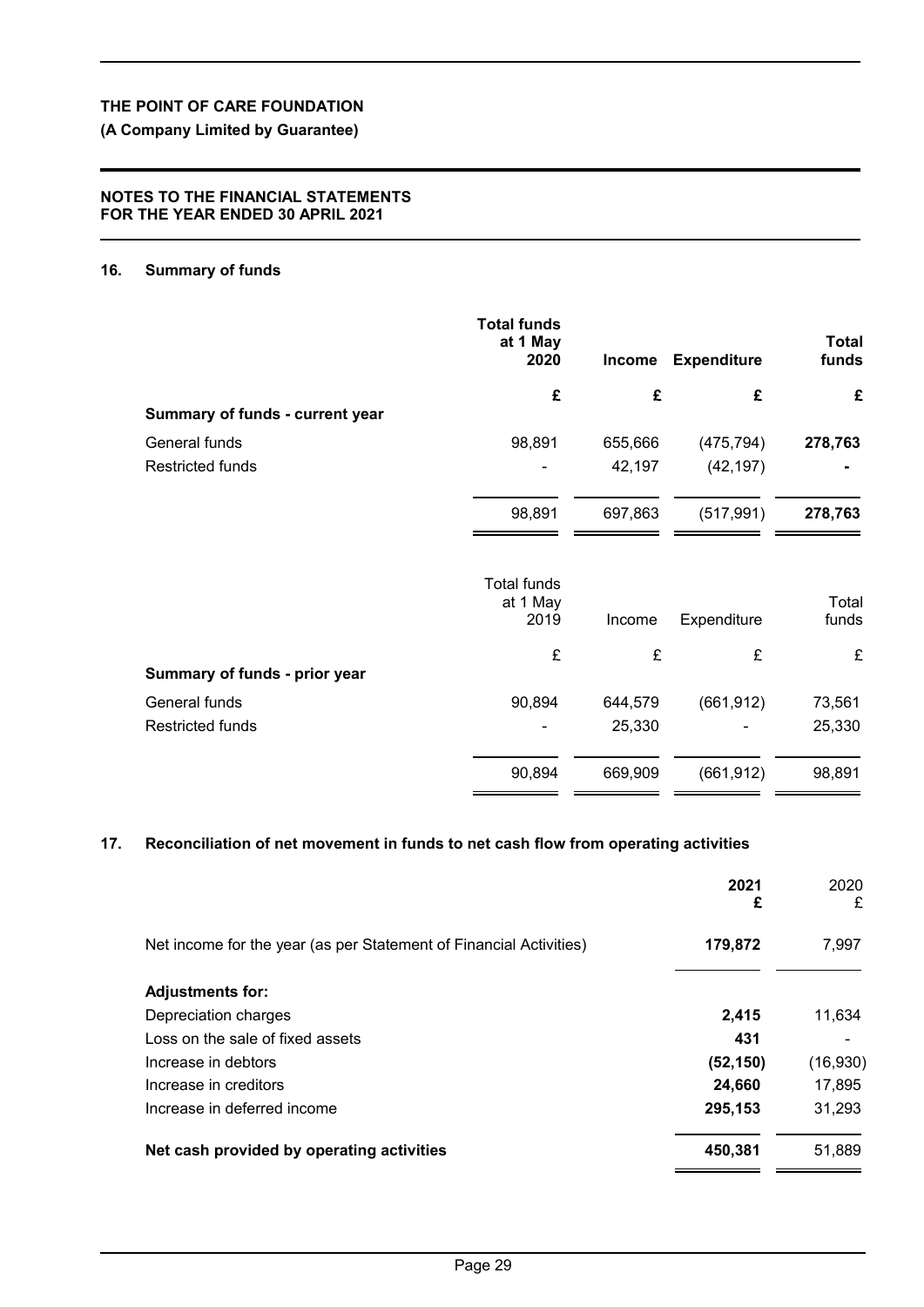**(A Company Limited by Guarantee)**

### **NOTES TO THE FINANCIAL STATEMENTS FOR THE YEAR ENDED 30 APRIL 2021**

### **16. Summary of funds**

|                                          | <b>Total funds</b><br>at 1 May<br>2020 | <b>Income</b>     | <b>Expenditure</b>      | <b>Total</b><br>funds |
|------------------------------------------|----------------------------------------|-------------------|-------------------------|-----------------------|
| Summary of funds - current year          | £                                      | £                 | £                       | £                     |
| General funds                            |                                        |                   |                         |                       |
| <b>Restricted funds</b>                  | 98,891                                 | 655,666<br>42,197 | (475, 794)<br>(42, 197) | 278,763               |
|                                          | 98,891                                 | 697,863           | (517, 991)              | 278,763               |
|                                          | <b>Total funds</b><br>at 1 May<br>2019 | Income            | Expenditure             | Total<br>funds        |
| Summary of funds - prior year            | £                                      | £                 | £                       | £                     |
|                                          |                                        |                   |                         |                       |
| General funds<br><b>Restricted funds</b> | 90,894                                 | 644,579<br>25,330 | (661, 912)              | 73,561<br>25,330      |
|                                          | 90,894                                 | 669,909           | (661, 912)              | 98,891                |

### **17. Reconciliation of net movement in funds to net cash flow from operating activities**

|                                                                    | 2021<br>£ | 2020<br>£ |
|--------------------------------------------------------------------|-----------|-----------|
| Net income for the year (as per Statement of Financial Activities) | 179,872   | 7,997     |
| <b>Adjustments for:</b>                                            |           |           |
| Depreciation charges                                               | 2,415     | 11,634    |
| Loss on the sale of fixed assets                                   | 431       |           |
| Increase in debtors                                                | (52, 150) | (16,930)  |
| Increase in creditors                                              | 24,660    | 17,895    |
| Increase in deferred income                                        | 295,153   | 31,293    |
| Net cash provided by operating activities                          | 450,381   | 51,889    |